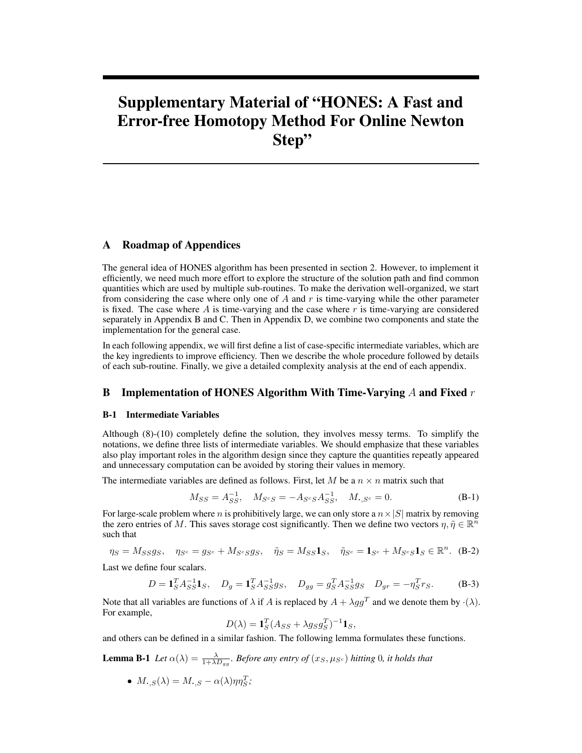# Supplementary Material of "HONES: A Fast and Error-free Homotopy Method For Online Newton Step"

### A Roadmap of Appendices

The general idea of HONES algorithm has been presented in section 2. However, to implement it efficiently, we need much more effort to explore the structure of the solution path and find common quantities which are used by multiple sub-routines. To make the derivation well-organized, we start from considering the case where only one of  $A$  and  $r$  is time-varying while the other parameter is fixed. The case where  $A$  is time-varying and the case where  $r$  is time-varying are considered separately in Appendix B and C. Then in Appendix D, we combine two components and state the implementation for the general case.

In each following appendix, we will first define a list of case-specific intermediate variables, which are the key ingredients to improve efficiency. Then we describe the whole procedure followed by details of each sub-routine. Finally, we give a detailed complexity analysis at the end of each appendix.

#### **B** Implementation of HONES Algorithm With Time-Varying A and Fixed  $r$

#### B-1 Intermediate Variables

Although (8)-(10) completely define the solution, they involves messy terms. To simplify the notations, we define three lists of intermediate variables. We should emphasize that these variables also play important roles in the algorithm design since they capture the quantities repeatly appeared and unnecessary computation can be avoided by storing their values in memory.

The intermediate variables are defined as follows. First, let M be a  $n \times n$  matrix such that

$$
M_{SS} = A_{SS}^{-1}, \quad M_{S^cS} = -A_{S^cS}A_{SS}^{-1}, \quad M_{\bullet, S^c} = 0.
$$
 (B-1)

For large-scale problem where n is prohibitively large, we can only store a  $n \times |S|$  matrix by removing the zero entries of M. This saves storage cost significantly. Then we define two vectors  $\eta, \tilde{\eta} \in \mathbb{R}^n$ such that

$$
\eta_S = M_{SS}g_S, \quad \eta_{S^c} = g_{S^c} + M_{S^cSS}g_S, \quad \tilde{\eta}_S = M_{SS}\mathbf{1}_S, \quad \tilde{\eta}_{S^c} = \mathbf{1}_{S^c} + M_{S^cS}\mathbf{1}_S \in \mathbb{R}^n. \tag{B-2}
$$

Last we define four scalars.

$$
D = \mathbf{1}_S^T A_{SS}^{-1} \mathbf{1}_S, \quad D_g = \mathbf{1}_S^T A_{SS}^{-1} g_S, \quad D_{gg} = g_S^T A_{SS}^{-1} g_S \quad D_{gr} = -\eta_S^T r_S. \tag{B-3}
$$

Note that all variables are functions of  $\lambda$  if A is replaced by  $A + \lambda gg^T$  and we denote them by  $\cdot(\lambda)$ . For example,

$$
D(\lambda) = \mathbf{1}_S^T (A_{SS} + \lambda g_S g_S^T)^{-1} \mathbf{1}_S,
$$

and others can be defined in a similar fashion. The following lemma formulates these functions.

**Lemma B-1** Let  $\alpha(\lambda) = \frac{\lambda}{1 + \lambda D_{gg}}$ . Before any entry of  $(x_S, \mu_{S^c})$  hitting 0, it holds that

•  $M_{\cdot,S}(\lambda) = M_{\cdot,S} - \alpha(\lambda)\eta\eta_S^T;$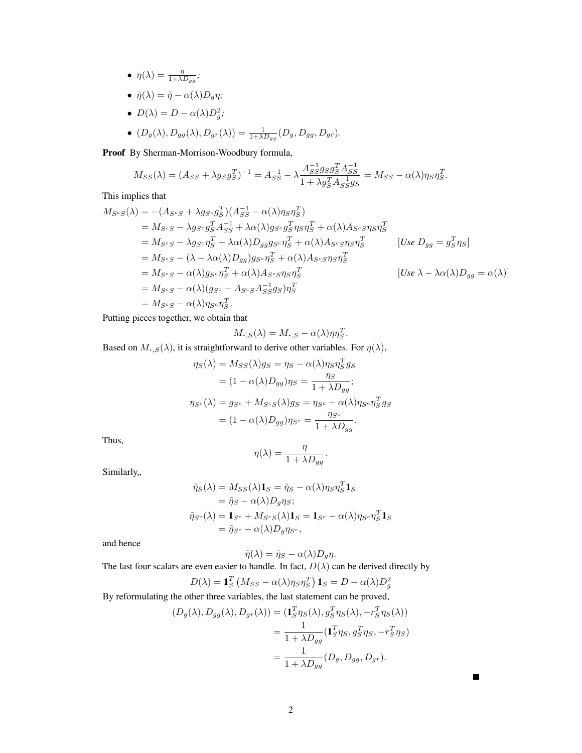- $\eta(\lambda) = \frac{\eta}{1 + \lambda D_{gg}}$ ;
- $\tilde{\eta}(\lambda) = \tilde{\eta} \alpha(\lambda)D_q\eta;$
- $D(\lambda) = D \alpha(\lambda)D_g^2;$
- $(D_g(\lambda), D_{gg}(\lambda), D_{gr}(\lambda)) = \frac{1}{1 + \lambda D_{gg}} (D_g, D_{gg}, D_{gr}).$

Proof By Sherman-Morrison-Woodbury formula,

$$
M_{SS}(\lambda) = (A_{SS} + \lambda g_S g_S^T)^{-1} = A_{SS}^{-1} - \lambda \frac{A_{SS}^{-1} g_S g_S^T A_{SS}^{-1}}{1 + \lambda g_S^T A_{SS}^{-1} g_S} = M_{SS} - \alpha(\lambda) \eta_S \eta_S^T
$$

This implies that

$$
M_{S^cS}(\lambda) = -(A_{S^cS} + \lambda g_{S^c} g_S^T)(A_{SS}^{-1} - \alpha(\lambda)\eta_S \eta_S^T)
$$
  
\n
$$
= M_{S^cS} - \lambda g_{S^c} g_S^T A_{SS}^{-1} + \lambda \alpha(\lambda) g_{S^c} g_S^T \eta_S \eta_S^T + \alpha(\lambda) A_{S^cS} \eta_S \eta_S^T
$$
  
\n
$$
= M_{S^cS} - \lambda g_{S^c} \eta_S^T + \lambda \alpha(\lambda) D_{gg} g_{S^c} \eta_S^T + \alpha(\lambda) A_{S^cS} \eta_S \eta_S^T
$$
  
\n
$$
= M_{S^cS} - (\lambda - \lambda \alpha(\lambda) D_{gg}) g_{S^c} \eta_S^T + \alpha(\lambda) A_{S^cS} \eta_S \eta_S^T
$$
  
\n
$$
= M_{S^cS} - \alpha(\lambda) g_{S^c} \eta_S^T + \alpha(\lambda) A_{S^cS} \eta_S \eta_S^T
$$
  
\n
$$
= M_{S^cS} - \alpha(\lambda) (g_{S^c} - A_{S^cS} A_{SS}^{-1} g_S) \eta_S^T
$$
  
\n
$$
= M_{S^cS} - \alpha(\lambda) \eta_{S^c} \eta_S^T.
$$
  
\n[Use  $\lambda - \lambda \alpha(\lambda) D_{gg} = \alpha(\lambda)$ ]

.

 $\blacksquare$ 

Putting pieces together, we obtain that

$$
M_{\boldsymbol{\cdot},S}(\lambda) = M_{\boldsymbol{\cdot},S} - \alpha(\lambda)\eta\eta_S^T.
$$

Based on  $M_{\bullet,S}(\lambda)$ , it is straightforward to derive other variables. For  $\eta(\lambda)$ ,

$$
\eta_S(\lambda) = M_{SS}(\lambda)g_S = \eta_S - \alpha(\lambda)\eta_S \eta_S^T g_S
$$
  
=  $(1 - \alpha(\lambda)D_{gg})\eta_S = \frac{\eta_S}{1 + \lambda D_{gg}};$   

$$
\eta_{S^c}(\lambda) = g_{S^c} + M_{S^cS}(\lambda)g_S = \eta_{S^c} - \alpha(\lambda)\eta_{S^c}\eta_S^T g_S
$$
  
=  $(1 - \alpha(\lambda)D_{gg})\eta_{S^c} = \frac{\eta_{S^c}}{1 + \lambda D_{gg}}.$ 

Thus,

$$
\eta(\lambda) = \frac{\eta}{1 + \lambda D_{gg}}.
$$

Similarly,

$$
\tilde{\eta}_S(\lambda) = M_{SS}(\lambda) \mathbf{1}_S = \tilde{\eta}_S - \alpha(\lambda) \eta_S \eta_S^T \mathbf{1}_S \n= \tilde{\eta}_S - \alpha(\lambda) D_g \eta_S; \n\tilde{\eta}_{S^c}(\lambda) = \mathbf{1}_{S^c} + M_{S^cS}(\lambda) \mathbf{1}_S = \mathbf{1}_{S^c} - \alpha(\lambda) \eta_{S^c} \eta_S^T \mathbf{1}_S \n= \tilde{\eta}_{S^c} - \alpha(\lambda) D_g \eta_{S^c},
$$

and hence

$$
\tilde{\eta}(\lambda) = \tilde{\eta}_S - \alpha(\lambda)D_g \eta.
$$

The last four scalars are even easier to handle. In fact,  $D(\lambda)$  can be derived directly by

$$
D(\lambda) = \mathbf{1}_S^T \left( M_{SS} - \alpha(\lambda) \eta_S \eta_S^T \right) \mathbf{1}_S = D - \alpha(\lambda) D_g^2
$$

By reformulating the other three variables, the last statement can be proved,

$$
(D_g(\lambda), D_{gg}(\lambda), D_{gr}(\lambda)) = (\mathbf{1}_S^T \eta_S(\lambda), g_S^T \eta_S(\lambda), -r_S^T \eta_S(\lambda))
$$
  
= 
$$
\frac{1}{1 + \lambda D_{gg}} (\mathbf{1}_S^T \eta_S, g_S^T \eta_S, -r_S^T \eta_S)
$$
  
= 
$$
\frac{1}{1 + \lambda D_{gg}} (D_g, D_{gg}, D_{gr}).
$$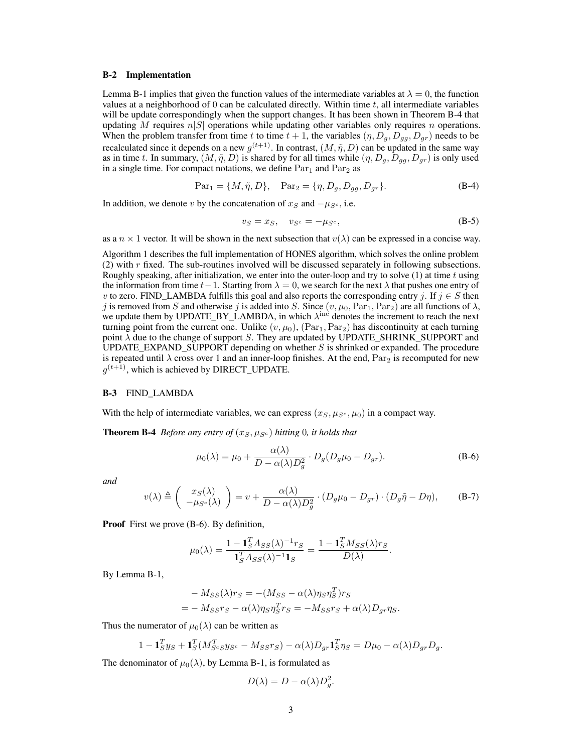#### B-2 Implementation

Lemma B-1 implies that given the function values of the intermediate variables at  $\lambda = 0$ , the function values at a neighborhood of  $0$  can be calculated directly. Within time  $t$ , all intermediate variables will be update correspondingly when the support changes. It has been shown in Theorem B-4 that updating M requires  $n|S|$  operations while updating other variables only requires n operations. When the problem transfer from time t to time  $t + 1$ , the variables  $(\eta, D_g, D_g, D_g)$  needs to be recalculated since it depends on a new  $g^{(t+1)}$ . In contrast,  $(M, \tilde{\eta}, D)$  can be updated in the same way as in time t. In summary,  $(M, \tilde{\eta}, D)$  is shared by for all times while  $(\eta, D_g, D_{gg}, D_{gr})$  is only used in a single time. For compact notations, we define  $Par<sub>1</sub>$  and  $Par<sub>2</sub>$  as

$$
Par_1 = \{M, \tilde{\eta}, D\}, \quad Par_2 = \{\eta, D_g, D_{gg}, D_{gr}\}.
$$
 (B-4)

In addition, we denote v by the concatenation of  $x_S$  and  $-\mu_{S^c}$ , i.e.

$$
v_S = x_S, \quad v_{S^c} = -\mu_{S^c}, \tag{B-5}
$$

as a  $n \times 1$  vector. It will be shown in the next subsection that  $v(\lambda)$  can be expressed in a concise way.

Algorithm 1 describes the full implementation of HONES algorithm, which solves the online problem (2) with r fixed. The sub-routines involved will be discussed separately in following subsections. Roughly speaking, after initialization, we enter into the outer-loop and try to solve  $(1)$  at time t using the information from time  $t-1$ . Starting from  $\lambda = 0$ , we search for the next  $\lambda$  that pushes one entry of v to zero. FIND\_LAMBDA fulfills this goal and also reports the corresponding entry j. If  $j \in S$  then j is removed from S and otherwise j is added into S. Since  $(v, \mu_0, Par_1, Par_2)$  are all functions of  $\lambda$ , we update them by UPDATE\_BY\_LAMBDA, in which  $\lambda^{\text{inc}}$  denotes the increment to reach the next turning point from the current one. Unlike  $(v, \mu_0)$ ,  $(\text{Par}_1, \text{Par}_2)$  has discontinuity at each turning point  $\lambda$  due to the change of support S. They are updated by UPDATE\_SHRINK\_SUPPORT and UPDATE\_EXPAND\_SUPPORT depending on whether  $S$  is shrinked or expanded. The procedure is repeated until  $\lambda$  cross over 1 and an inner-loop finishes. At the end,  $Par_2$  is recomputed for new  $g^{(t+1)}$ , which is achieved by DIRECT\_UPDATE.

#### B-3 FIND\_LAMBDA

With the help of intermediate variables, we can express  $(x_S, \mu_{S^c}, \mu_0)$  in a compact way.

**Theorem B-4** *Before any entry of*  $(x_S, \mu_{S^c})$  *hitting* 0*, it holds that* 

$$
\mu_0(\lambda) = \mu_0 + \frac{\alpha(\lambda)}{D - \alpha(\lambda)D_g^2} \cdot D_g(D_g\mu_0 - D_{gr}).
$$
\n(B-6)

*and*

$$
v(\lambda) \triangleq \begin{pmatrix} x_S(\lambda) \\ -\mu_{S^c}(\lambda) \end{pmatrix} = v + \frac{\alpha(\lambda)}{D - \alpha(\lambda)D_g^2} \cdot (D_g \mu_0 - D_{gr}) \cdot (D_g \tilde{\eta} - D\eta), \quad (B-7)
$$

Proof First we prove (B-6). By definition,

$$
\mu_0(\lambda) = \frac{1 - \mathbf{1}_S^T A_{SS}(\lambda)^{-1} r_S}{\mathbf{1}_S^T A_{SS}(\lambda)^{-1} \mathbf{1}_S} = \frac{1 - \mathbf{1}_S^T M_{SS}(\lambda) r_S}{D(\lambda)}.
$$

By Lemma B-1,

$$
- M_{SS}(\lambda) r_S = - (M_{SS} - \alpha(\lambda) \eta_S \eta_S^T) r_S
$$
  
= 
$$
- M_{SS} r_S - \alpha(\lambda) \eta_S \eta_S^T r_S = - M_{SS} r_S + \alpha(\lambda) D_{gr} \eta_S.
$$

Thus the numerator of  $\mu_0(\lambda)$  can be written as

$$
1 - \mathbf{1}_S^T y_S + \mathbf{1}_S^T (M_{S^c S}^T y_{S^c} - M_{S S} r_S) - \alpha(\lambda) D_{gr} \mathbf{1}_S^T \eta_S = D\mu_0 - \alpha(\lambda) D_{gr} D_g.
$$

The denominator of  $\mu_0(\lambda)$ , by Lemma B-1, is formulated as

$$
D(\lambda) = D - \alpha(\lambda)D_g^2.
$$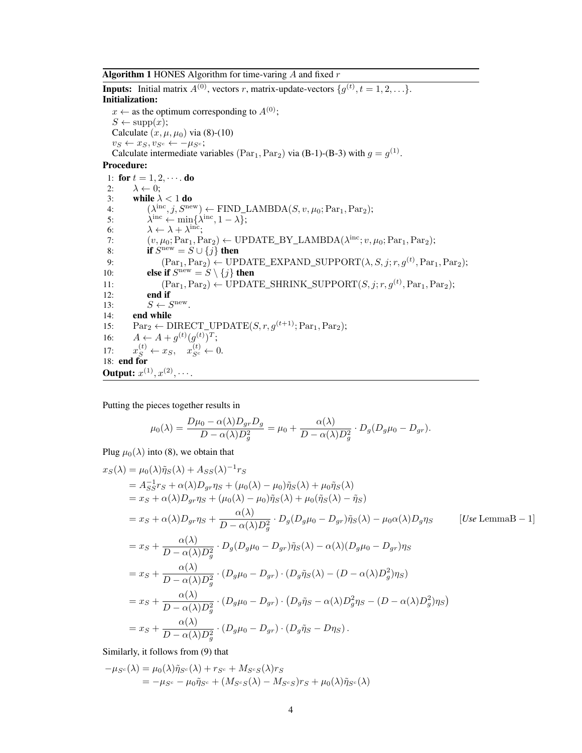**Algorithm 1** HONES Algorithm for time-varing  $\hat{A}$  and fixed  $r$ 

**Inputs:** Initial matrix  $A^{(0)}$ , vectors r, matrix-update-vectors  $\{g^{(t)}, t = 1, 2, \ldots\}$ . Initialization:  $x \leftarrow$  as the optimum corresponding to  $A^{(0)}$ ;  $S \leftarrow \text{supp}(x);$ Calculate  $(x, \mu, \mu_0)$  via (8)-(10)  $v_S \leftarrow x_S, v_{S^c} \leftarrow -\mu_{S^c};$ Calculate intermediate variables (Par<sub>1</sub>, Par<sub>2</sub>) via (B-1)-(B-3) with  $g = g^{(1)}$ . Procedure: 1: for  $t = 1, 2, \dots$  do 2:  $\lambda \leftarrow 0;$ <br>3: while  $\lambda$ while  $\lambda < 1$  do 4:  $(\lambda^{\text{inc}}, j, S^{\text{new}}) \leftarrow \text{FIND\_LAMBDA}(S, v, \mu_0; \text{Par}_1, \text{Par}_2);$ 5:  $\mathrm{e}^{\mathrm{inc}} \leftarrow \min\{\lambda^{\mathrm{inc}}, 1-\lambda\};$ 6:  $\lambda \leftarrow \lambda + \lambda^{\text{inc}};$ 7:  $(v, \mu_0; Par_1, Par_2) \leftarrow \text{UPDATE\_BY\_LAMBDA}(\lambda^{\text{inc}}; v, \mu_0; Par_1, Par_2);$ 8: **if**  $S^{\text{new}} = S \cup \{j\}$  then 9:  $(\text{Par}_1, \text{Par}_2) \leftarrow \text{UPDATE\_EXPAND\_SUPPORT}(\lambda, S, j; r, g^{(t)}, \text{Par}_1, \text{Par}_2);$ 10: **else if**  $S^{\text{new}} = \hat{S} \setminus \{j\}$  then 11:  $(\text{Par}_1, \text{Par}_2) \leftarrow \text{UPDATE\_SHRINK\_SUPPORT}(S, j; r, g^{(t)}, \text{Par}_1, \text{Par}_2);$ 12: end if 13:  $S \leftarrow S^{\text{new}}$ . 14: end while 15:  $\text{Par}_2 \leftarrow \text{DIRECT UP} \text{DATE}(S, r, q^{(t+1)}; \text{Par}_1, \text{Par}_2);$ 16:  $A \leftarrow A + g^{(t)}(g^{(t)})^T;$  $17:$  $s^{(t)} \leftarrow x_S, \quad x_{S^c}^{(t)} \leftarrow 0.$ 18: end for **Output:**  $x^{(1)}, x^{(2)}, \cdots$ .

Putting the pieces together results in

$$
\mu_0(\lambda) = \frac{D\mu_0 - \alpha(\lambda)D_{gr}D_g}{D - \alpha(\lambda)D_g^2} = \mu_0 + \frac{\alpha(\lambda)}{D - \alpha(\lambda)D_g^2} \cdot D_g(D_g\mu_0 - D_{gr}).
$$

Plug  $\mu_0(\lambda)$  into (8), we obtain that

$$
x_S(\lambda) = \mu_0(\lambda)\tilde{\eta}_S(\lambda) + A_{SS}(\lambda)^{-1}r_S
$$
  
\n
$$
= A_{SS}^{-1}r_S + \alpha(\lambda)D_{gr}\eta_S + (\mu_0(\lambda) - \mu_0)\tilde{\eta}_S(\lambda) + \mu_0\tilde{\eta}_S(\lambda)
$$
  
\n
$$
= x_S + \alpha(\lambda)D_{gr}\eta_S + (\mu_0(\lambda) - \mu_0)\tilde{\eta}_S(\lambda) + \mu_0(\tilde{\eta}_S(\lambda) - \tilde{\eta}_S)
$$
  
\n
$$
= x_S + \alpha(\lambda)D_{gr}\eta_S + \frac{\alpha(\lambda)}{D - \alpha(\lambda)D_g^2} \cdot D_g(D_g\mu_0 - D_{gr})\tilde{\eta}_S(\lambda) - \mu_0\alpha(\lambda)D_g\eta_S \qquad [Use LemmaB - 1]
$$
  
\n
$$
= x_S + \frac{\alpha(\lambda)}{D - \alpha(\lambda)D_g^2} \cdot D_g(D_g\mu_0 - D_{gr})\tilde{\eta}_S(\lambda) - \alpha(\lambda)(D_g\mu_0 - D_{gr})\eta_S
$$
  
\n
$$
= x_S + \frac{\alpha(\lambda)}{D - \alpha(\lambda)D_g^2} \cdot (D_g\mu_0 - D_{gr}) \cdot (D_g\tilde{\eta}_S(\lambda) - (D - \alpha(\lambda)D_g^2)\eta_S)
$$
  
\n
$$
= x_S + \frac{\alpha(\lambda)}{D - \alpha(\lambda)D_g^2} \cdot (D_g\mu_0 - D_{gr}) \cdot (D_g\tilde{\eta}_S - \alpha(\lambda)D_g^2\eta_S - (D - \alpha(\lambda)D_g^2)\eta_S)
$$
  
\n
$$
= x_S + \frac{\alpha(\lambda)}{D - \alpha(\lambda)D_g^2} \cdot (D_g\mu_0 - D_{gr}) \cdot (D_g\tilde{\eta}_S - D\eta_S).
$$

Similarly, it follows from (9) that

$$
-\mu_{S^c}(\lambda) = \mu_0(\lambda)\tilde{\eta}_{S^c}(\lambda) + r_{S^c} + M_{S^cS}(\lambda)r_S
$$
  
= 
$$
-\mu_{S^c} - \mu_0\tilde{\eta}_{S^c} + (M_{S^cS}(\lambda) - M_{S^cS})r_S + \mu_0(\lambda)\tilde{\eta}_{S^c}(\lambda)
$$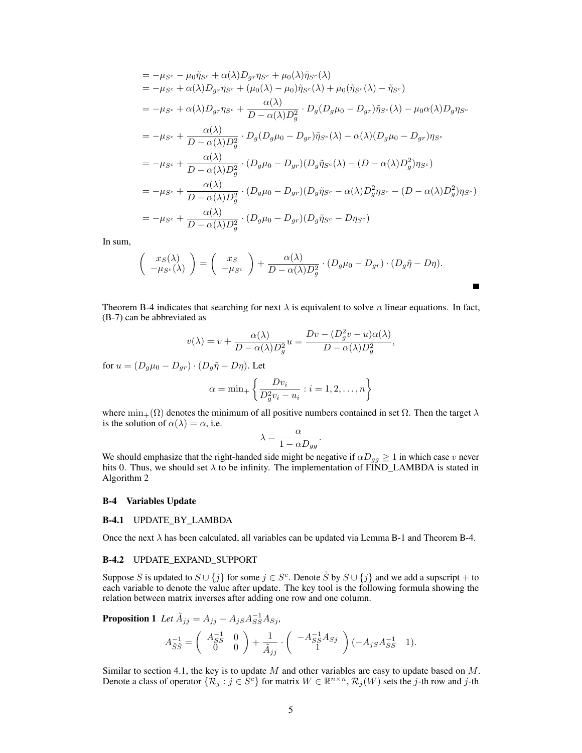$$
= -\mu_{S^c} - \mu_0 \tilde{\eta}_{S^c} + \alpha(\lambda) D_{gr} \eta_{S^c} + \mu_0(\lambda) \tilde{\eta}_{S^c}(\lambda)
$$
  
\n
$$
= -\mu_{S^c} + \alpha(\lambda) D_{gr} \eta_{S^c} + (\mu_0(\lambda) - \mu_0) \tilde{\eta}_{S^c}(\lambda) + \mu_0(\tilde{\eta}_{S^c}(\lambda) - \tilde{\eta}_{S^c})
$$
  
\n
$$
= -\mu_{S^c} + \alpha(\lambda) D_{gr} \eta_{S^c} + \frac{\alpha(\lambda)}{D - \alpha(\lambda) D_g^2} \cdot D_g(D_g \mu_0 - D_{gr}) \tilde{\eta}_{S^c}(\lambda) - \mu_0 \alpha(\lambda) D_g \eta_{S^c}
$$
  
\n
$$
= -\mu_{S^c} + \frac{\alpha(\lambda)}{D - \alpha(\lambda) D_g^2} \cdot D_g(D_g \mu_0 - D_{gr}) \tilde{\eta}_{S^c}(\lambda) - \alpha(\lambda) (D_g \mu_0 - D_{gr}) \eta_{S^c}
$$
  
\n
$$
= -\mu_{S^c} + \frac{\alpha(\lambda)}{D - \alpha(\lambda) D_g^2} \cdot (D_g \mu_0 - D_{gr}) (D_g \tilde{\eta}_{S^c}(\lambda) - (D - \alpha(\lambda) D_g^2) \eta_{S^c})
$$
  
\n
$$
= -\mu_{S^c} + \frac{\alpha(\lambda)}{D - \alpha(\lambda) D_g^2} \cdot (D_g \mu_0 - D_{gr}) (D_g \tilde{\eta}_{S^c} - \alpha(\lambda) D_g^2 \eta_{S^c} - (D - \alpha(\lambda) D_g^2) \eta_{S^c})
$$
  
\n
$$
= -\mu_{S^c} + \frac{\alpha(\lambda)}{D - \alpha(\lambda) D_g^2} \cdot (D_g \mu_0 - D_{gr}) (D_g \tilde{\eta}_{S^c} - D \eta_{S^c})
$$

In sum,

$$
\begin{pmatrix} x_S(\lambda) \\ -\mu_{S^c}(\lambda) \end{pmatrix} = \begin{pmatrix} x_S \\ -\mu_{S^c} \end{pmatrix} + \frac{\alpha(\lambda)}{D - \alpha(\lambda)D_g^2} \cdot (D_g \mu_0 - D_{gr}) \cdot (D_g \tilde{\eta} - D\eta).
$$

Ē

Theorem B-4 indicates that searching for next  $\lambda$  is equivalent to solve n linear equations. In fact, (B-7) can be abbreviated as

$$
v(\lambda) = v + \frac{\alpha(\lambda)}{D - \alpha(\lambda)D_g^2}u = \frac{Dv - (D_g^2v - u)\alpha(\lambda)}{D - \alpha(\lambda)D_g^2},
$$

for  $u = (D_q \mu_0 - D_{qr}) \cdot (D_q \tilde{\eta} - D_{\eta})$ . Let

$$
\alpha = \min_{+} \left\{ \frac{Dv_i}{D_g^2 v_i - u_i} : i = 1, 2, \dots, n \right\}
$$

where  $\min_{+}(\Omega)$  denotes the minimum of all positive numbers contained in set  $\Omega$ . Then the target  $\lambda$ is the solution of  $\alpha(\lambda) = \alpha$ , i.e.

$$
\lambda = \frac{\alpha}{1 - \alpha D_{gg}}.
$$

We should emphasize that the right-handed side might be negative if  $\alpha D_{gg} \geq 1$  in which case v never hits 0. Thus, we should set  $\lambda$  to be infinity. The implementation of FIND\_LAMBDA is stated in Algorithm 2

#### B-4 Variables Update

#### B-4.1 UPDATE\_BY\_LAMBDA

Once the next  $\lambda$  has been calculated, all variables can be updated via Lemma B-1 and Theorem B-4.

#### B-4.2 UPDATE\_EXPAND\_SUPPORT

Suppose S is updated to  $S \cup \{j\}$  for some  $j \in S^c$ . Denote  $\tilde{S}$  by  $S \cup \{j\}$  and we add a supscript + to each variable to denote the value after update. The key tool is the following formula showing the relation between matrix inverses after adding one row and one column.

**Proposition 1** Let  $\tilde{A}_{jj} = A_{jj} - A_{jS}A_{SS}^{-1}A_{Sj}$ ,

$$
A_{\tilde{S}\tilde{S}}^{-1} = \begin{pmatrix} A_{SS}^{-1} & 0 \\ 0 & 0 \end{pmatrix} + \frac{1}{\tilde{A}_{jj}} \cdot \begin{pmatrix} -A_{SS}^{-1}A_{Sj} \\ 1 \end{pmatrix} (-A_{jS}A_{SS}^{-1} - 1).
$$

Similar to section 4.1, the key is to update  $M$  and other variables are easy to update based on  $M$ . Denote a class of operator  $\{\mathcal{R}_j : j \in \dot{S}^c\}$  for matrix  $W \in \mathbb{R}^{n \times n}$ ,  $\mathcal{R}_j(W)$  sets the j-th row and j-th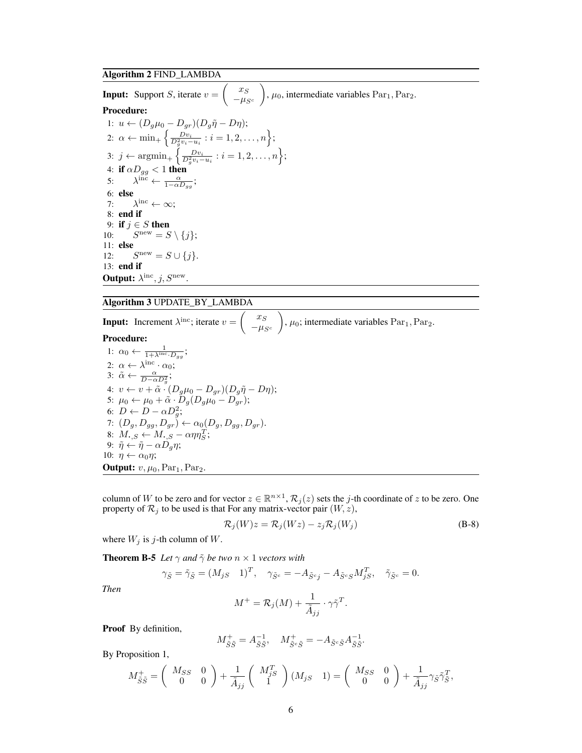# Algorithm 2 FIND\_LAMBDA

**Input:** Support *S*, iterate  $v = \left( \begin{array}{c} 1 \end{array} \right)$  $x_S$  $-\mu_{S^c}$  $\Big)$ ,  $\mu_0$ , intermediate variables Par<sub>1</sub>, Par<sub>2</sub>. Procedure: 1:  $u \leftarrow (D_q \mu_0 - D_{qr})(D_q \tilde{\eta} - D\eta);$ 2:  $\alpha \leftarrow \min_{+} \left\{ \frac{Dv_i}{D_g^2 v_i - u_i} : i = 1, 2, \dots, n \right\};$ 3:  $j \leftarrow \operatorname{argmin}_+ \left\{ \frac{Dv_i}{D_g^2 v_i - u_i} : i = 1, 2, \dots, n \right\};$ 4: if  $\alpha D_{gg} < 1$  then 5:  $\lambda^{\text{inc}} \leftarrow \frac{\alpha}{1 - \alpha D_{gg}}$ ; 6: else 7: λ  $\lambda^{\text{inc}} \leftarrow \infty;$ 8: end if 9: if  $j \in S$  then  $10:$  $S^{\text{new}} = S \setminus \{j\};$ 11: else  $12:$  $S^{\text{new}} = S \cup \{j\}.$ 13: end if **Output:**  $\lambda^{\text{inc}}, j, S^{\text{new}}$ .

# Algorithm 3 UPDATE\_BY\_LAMBDA

**Input:** Increment  $\lambda^{\text{inc}}$ ; iterate  $v = \begin{pmatrix} x_s \\ y_s \end{pmatrix}$  $-\mu_{S^c}$  $\Big)$ ,  $\mu_0$ ; intermediate variables Par<sub>1</sub>, Par<sub>2</sub>. Procedure: 1:  $\alpha_0 \leftarrow \frac{1}{1 + \lambda^{\text{inc}} \cdot D_{gg}}$ ; 2:  $\alpha \leftarrow \lambda^{\text{inc}} \cdot \alpha_0;$ 3:  $\tilde{\alpha} \leftarrow \frac{\alpha}{D - \alpha D_g^2};$ 4:  $v \leftarrow v + \tilde{\alpha} \cdot (D_g \mu_0 - D_{gr})(D_g \tilde{\eta} - D \eta);$ 5:  $\mu_0 \leftarrow \mu_0 + \tilde{\alpha} \cdot \tilde{D}_g (D_g \mu_0 - D_g r);$ 6:  $D \leftarrow D - \alpha D_g^2;$ 7:  $(D_g, D_{gg}, D_{gr}) \leftarrow \alpha_0(D_g, D_{gg}, D_{gr}).$ 8:  $M_{\bullet,S} \leftarrow M_{\bullet,S} - \alpha \eta \eta_S^T;$ 9:  $\tilde{\eta} \leftarrow \tilde{\eta} - \alpha D_g \eta;$ 10:  $\eta \leftarrow \alpha_0 \eta$ ; **Output:**  $v, \mu_0, \text{Par}_1, \text{Par}_2.$ 

column of W to be zero and for vector  $z \in \mathbb{R}^{n \times 1}$ ,  $\mathcal{R}_j(z)$  sets the j-th coordinate of z to be zero. One property of  $\mathcal{R}_j$  to be used is that For any matrix-vector pair  $(W, z)$ ,

$$
\mathcal{R}_j(W)z = \mathcal{R}_j(Wz) - z_j \mathcal{R}_j(W_j)
$$
 (B-8)

where  $W_j$  is j-th column of W.

**Theorem B-5** *Let*  $\gamma$  *and*  $\tilde{\gamma}$  *be two*  $n \times 1$  *vectors with* 

$$
\gamma_{\tilde{S}} = \tilde{\gamma}_{\tilde{S}} = (M_{jS} \quad 1)^T, \quad \gamma_{\tilde{S}^c} = -A_{\tilde{S}^c j} - A_{\tilde{S}^c S} M_{jS}^T, \quad \tilde{\gamma}_{\tilde{S}^c} = 0.
$$

*Then*

$$
M^+ = \mathcal{R}_j(M) + \frac{1}{\tilde{A}_{jj}} \cdot \gamma \tilde{\gamma}^T.
$$

Proof By definition,

$$
M^+_{\tilde{S}\tilde{S}} = A^{-1}_{\tilde{S}\tilde{S}}, \quad M^+_{\tilde{S}^c\tilde{S}} = -A_{\tilde{S}^c\tilde{S}}A^{-1}_{\tilde{S}\tilde{S}}.
$$

By Proposition 1,

$$
M_{\tilde{S}\tilde{S}}^+ = \begin{pmatrix} M_{SS} & 0 \\ 0 & 0 \end{pmatrix} + \frac{1}{\tilde{A}_{jj}} \begin{pmatrix} M_{jS}^T \\ 1 \end{pmatrix} (M_{jS} & 1) = \begin{pmatrix} M_{SS} & 0 \\ 0 & 0 \end{pmatrix} + \frac{1}{\tilde{A}_{jj}} \gamma_{\tilde{S}} \tilde{\gamma}_{\tilde{S}}^T,
$$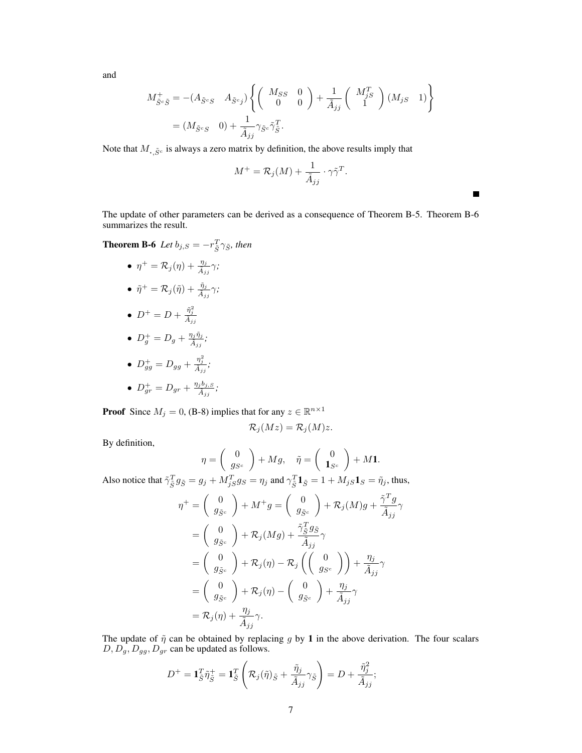and

$$
M_{\tilde{S}^c\tilde{S}}^+ = -(A_{\tilde{S}^cS} \quad A_{\tilde{S}^cj}) \left\{ \begin{pmatrix} M_{SS} & 0 \\ 0 & 0 \end{pmatrix} + \frac{1}{\tilde{A}_{jj}} \begin{pmatrix} M_{jS}^T \\ 1 \end{pmatrix} (M_{jS} \quad 1) \right\}
$$
  
=  $(M_{\tilde{S}^cS} \quad 0) + \frac{1}{\tilde{A}_{jj}} \gamma_{\tilde{S}^c} \tilde{\gamma}_{\tilde{S}}^T.$ 

Note that  $M_{\cdot,\tilde{S}^c}$  is always a zero matrix by definition, the above results imply that

$$
M^+ = \mathcal{R}_j(M) + \frac{1}{\tilde{A}_{jj}} \cdot \gamma \tilde{\gamma}^T.
$$

Г

The update of other parameters can be derived as a consequence of Theorem B-5. Theorem B-6 summarizes the result.

**Theorem B-6** Let  $b_{j,S} = -r_{\tilde{S}}^T \gamma_{\tilde{S}}$ , then

•  $\eta^+ = \mathcal{R}_j(\eta) + \frac{\eta_j}{\tilde{A}_{jj}} \gamma$ ;

• 
$$
\tilde{\eta}^+ = \mathcal{R}_j(\tilde{\eta}) + \frac{\tilde{\eta}_j}{\tilde{A}_{jj}} \gamma;
$$

 $D^+=D+\frac{\tilde{\eta}_j^2}{\tilde{A}_{jj}}$ 

• 
$$
D_g^+ = D_g + \frac{\eta_j \tilde{\eta}_j}{\tilde{A}_{jj}};
$$

\n- $$
D_{gg}^+ = D_{gg} + \frac{\eta_j^2}{\tilde{A}_{jj}}
$$
\n- $D_{gr}^+ = D_{gr} + \frac{\eta_j b_{j,S}}{\tilde{A}_{jj}}$
\n

**Proof** Since  $M_j = 0$ , (B-8) implies that for any  $z \in \mathbb{R}^{n \times 1}$ 

$$
\mathcal{R}_j(Mz) = \mathcal{R}_j(M)z.
$$

By definition,

$$
\eta = \begin{pmatrix} 0 \\ g_{S^c} \end{pmatrix} + Mg, \quad \tilde{\eta} = \begin{pmatrix} 0 \\ \mathbf{1}_{S^c} \end{pmatrix} + M\mathbf{1}.
$$

Also notice that  $\tilde{\gamma}_{\tilde{S}}^T g_{\tilde{S}} = g_j + M_{jS}^T g_S = \eta_j$  and  $\gamma_{\tilde{S}}^T \mathbf{1}_{\tilde{S}} = 1 + M_{jS} \mathbf{1}_S = \tilde{\eta}_j$ , thus,

$$
\eta^{+} = \begin{pmatrix} 0 \\ g_{\tilde{S}^c} \end{pmatrix} + M^{+}g = \begin{pmatrix} 0 \\ g_{\tilde{S}^c} \end{pmatrix} + \mathcal{R}_j(M)g + \frac{\tilde{\gamma}^T g}{\tilde{A}_{jj}}\gamma
$$
  
\n
$$
= \begin{pmatrix} 0 \\ g_{\tilde{S}^c} \end{pmatrix} + \mathcal{R}_j(Mg) + \frac{\tilde{\gamma}^T_{\tilde{S}}g_{\tilde{S}}}{\tilde{A}_{jj}}\gamma
$$
  
\n
$$
= \begin{pmatrix} 0 \\ g_{\tilde{S}^c} \end{pmatrix} + \mathcal{R}_j(\eta) - \mathcal{R}_j\left(\begin{pmatrix} 0 \\ g_{S^c} \end{pmatrix}\right) + \frac{\eta_j}{\tilde{A}_{jj}}\gamma
$$
  
\n
$$
= \begin{pmatrix} 0 \\ g_{\tilde{S}^c} \end{pmatrix} + \mathcal{R}_j(\eta) - \begin{pmatrix} 0 \\ g_{\tilde{S}^c} \end{pmatrix} + \frac{\eta_j}{\tilde{A}_{jj}}\gamma
$$
  
\n
$$
= \mathcal{R}_j(\eta) + \frac{\eta_j}{\tilde{A}_{jj}}\gamma.
$$

The update of  $\tilde{\eta}$  can be obtained by replacing g by 1 in the above derivation. The four scalars  $D, D_g, D_{gg}, D_{gr}$  can be updated as follows.

$$
D^+ = \mathbf{1}_{\tilde{S}}^T \tilde{\eta}_{\tilde{S}}^+ = \mathbf{1}_{\tilde{S}}^T \left( \mathcal{R}_j(\tilde{\eta})_{\tilde{S}} + \frac{\tilde{\eta}_j}{\tilde{A}_{jj}} \gamma_{\tilde{S}} \right) = D + \frac{\tilde{\eta}_j^2}{\tilde{A}_{jj}};
$$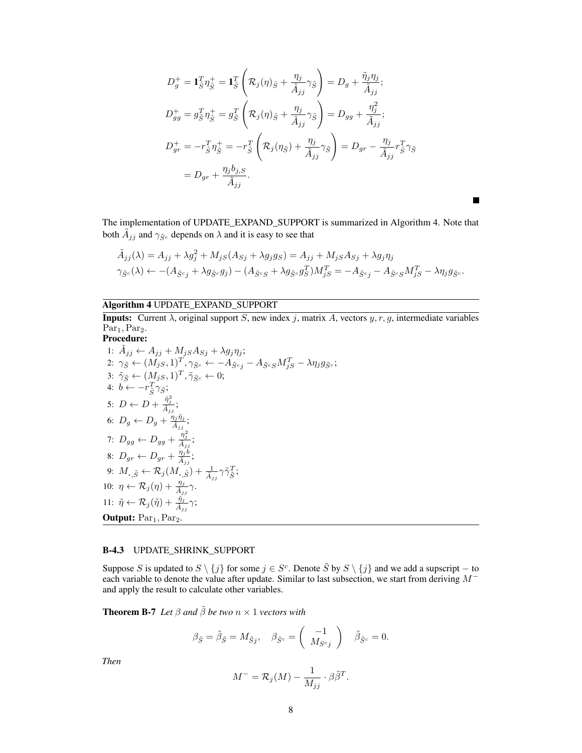$$
D_g^+ = \mathbf{1}_{\tilde{S}}^T \eta_{\tilde{S}}^+ = \mathbf{1}_{\tilde{S}}^T \left( \mathcal{R}_j(\eta)_{\tilde{S}} + \frac{\eta_j}{\tilde{A}_{jj}} \gamma_{\tilde{S}} \right) = D_g + \frac{\tilde{\eta}_j \eta_j}{\tilde{A}_{jj}};
$$
  
\n
$$
D_{gg}^+ = g_{\tilde{S}}^T \eta_{\tilde{S}}^+ = g_{\tilde{S}}^T \left( \mathcal{R}_j(\eta)_{\tilde{S}} + \frac{\eta_j}{\tilde{A}_{jj}} \gamma_{\tilde{S}} \right) = D_{gg} + \frac{\eta_j^2}{\tilde{A}_{jj}};
$$
  
\n
$$
D_{gr}^+ = -r_{\tilde{S}}^T \eta_{\tilde{S}}^+ = -r_{\tilde{S}}^T \left( \mathcal{R}_j(\eta_{\tilde{S}}) + \frac{\eta_j}{\tilde{A}_{jj}} \gamma_{\tilde{S}} \right) = D_{gr} - \frac{\eta_j}{\tilde{A}_{jj}} r_{\tilde{S}}^T \gamma_{\tilde{S}}
$$
  
\n
$$
= D_{gr} + \frac{\eta_j b_{j,S}}{\tilde{A}_{jj}}.
$$

 $\blacksquare$ 

The implementation of UPDATE\_EXPAND\_SUPPORT is summarized in Algorithm 4. Note that both  $\tilde{A}_{jj}$  and  $\gamma_{\tilde{S}^c}$  depends on  $\lambda$  and it is easy to see that

$$
\tilde{A}_{jj}(\lambda) = A_{jj} + \lambda g_j^2 + M_{jS}(A_{Sj} + \lambda g_j g_S) = A_{jj} + M_{jS}A_{Sj} + \lambda g_j \eta_j
$$
  

$$
\gamma_{\tilde{S}^c}(\lambda) \leftarrow -(A_{\tilde{S}^c j} + \lambda g_{\tilde{S}^c} g_j) - (A_{\tilde{S}^c S} + \lambda g_{\tilde{S}^c} g_S^T)M_{jS}^T = -A_{\tilde{S}^c j} - A_{\tilde{S}^c S}M_{jS}^T - \lambda \eta_j g_{\tilde{S}^c}.
$$

# Algorithm 4 UPDATE\_EXPAND\_SUPPORT

**Inputs:** Current  $\lambda$ , original support S, new index j, matrix A, vectors  $y, r, g$ , intermediate variables  $Par<sub>1</sub>, Par<sub>2</sub>$ . Procedure:

1: 
$$
\tilde{A}_{jj} \leftarrow A_{jj} + M_{jS}A_{Sj} + \lambda g_j \eta_j;
$$
  
\n2:  $\gamma_{\tilde{S}} \leftarrow (M_{jS}, 1)^T, \gamma_{\tilde{S}^c} \leftarrow -A_{\tilde{S}^c j} - A_{\tilde{S}^c S}M_{jS}^T - \lambda \eta_j g_{\tilde{S}^c};$   
\n3:  $\tilde{\gamma}_{\tilde{S}} \leftarrow (M_{jS}, 1)^T, \tilde{\gamma}_{\tilde{S}^c} \leftarrow 0;$   
\n4:  $b \leftarrow -r_{\tilde{S}}^T \gamma_{\tilde{S}};$   
\n5:  $D \leftarrow D + \frac{\tilde{\eta}_j^2}{\tilde{A}_{jj}};$   
\n6:  $D_g \leftarrow D_g + \frac{\eta_j \tilde{\eta}_j}{A_{jj}};$   
\n7:  $D_{gg} \leftarrow D_{gg} + \frac{\eta_j^2}{A_{jj}};$   
\n8:  $D_{gr} \leftarrow D_{gr} + \frac{\eta_j}{A_{jj}};$   
\n9:  $M_{\cdot,\tilde{S}} \leftarrow \mathcal{R}_j(M_{\cdot,\tilde{S}}) + \frac{1}{A_{jj}} \gamma \tilde{\gamma}_{\tilde{S}}^T;$   
\n10:  $\eta \leftarrow \mathcal{R}_j(\eta) + \frac{\eta_j}{A_{jj}} \gamma;$   
\n11:  $\tilde{\eta} \leftarrow \mathcal{R}_j(\tilde{\eta}) + \frac{\tilde{\eta}_j}{A_{jj}} \gamma;$   
\n0u**thut:** Par<sub>1</sub>, Par<sub>2</sub>.

# B-4.3 UPDATE\_SHRINK\_SUPPORT

Suppose S is updated to  $S \setminus \{j\}$  for some  $j \in S^c$ . Denote  $\tilde{S}$  by  $S \setminus \{j\}$  and we add a supscript – to each variable to denote the value after update. Similar to last subsection, we start from deriving  $M^$ and apply the result to calculate other variables.

**Theorem B-7** *Let*  $\beta$  *and*  $\tilde{\beta}$  *be two*  $n \times 1$  *vectors with* 

$$
\beta_{\tilde{S}} = \tilde{\beta}_{\tilde{S}} = M_{\tilde{S}j}, \quad \beta_{\tilde{S}^c} = \begin{pmatrix} -1 \\ M_{S^cj} \end{pmatrix} \quad \tilde{\beta}_{\tilde{S}^c} = 0.
$$

*Then*

$$
M^{-} = \mathcal{R}_{j}(M) - \frac{1}{M_{jj}} \cdot \beta \tilde{\beta}^{T}.
$$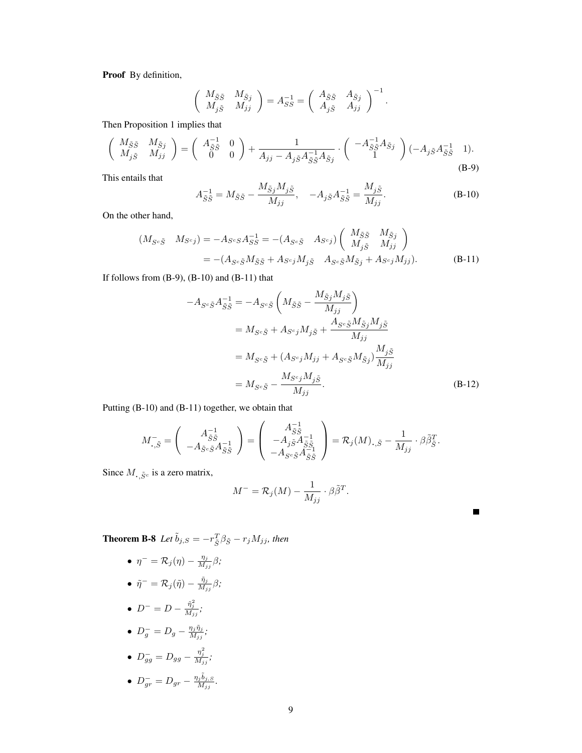Proof By definition,

$$
\begin{pmatrix}\nM_{\tilde{S}\tilde{S}} & M_{\tilde{S}j} \\
M_{j\tilde{S}} & M_{jj}\n\end{pmatrix} = A_{SS}^{-1} = \begin{pmatrix}\nA_{\tilde{S}\tilde{S}} & A_{\tilde{S}j} \\
A_{j\tilde{S}} & A_{jj}\n\end{pmatrix}^{-1}.
$$

Then Proposition 1 implies that

$$
\begin{pmatrix}\nM_{\tilde{S}\tilde{S}} & M_{\tilde{S}j} \\
M_{j\tilde{S}} & M_{jj}\n\end{pmatrix} = \begin{pmatrix}\nA_{\tilde{S}\tilde{S}}^{-1} & 0 \\
0 & 0\n\end{pmatrix} + \frac{1}{A_{jj} - A_{j\tilde{S}} A_{\tilde{S}\tilde{S}}^{-1} A_{\tilde{S}j}} \cdot \begin{pmatrix}\n-A_{\tilde{S}\tilde{S}}^{-1} A_{\tilde{S}j} \\
1\n\end{pmatrix} (-A_{j\tilde{S}} A_{\tilde{S}\tilde{S}}^{-1} - 1).
$$
\n(B-9)

This entails that

$$
A_{\tilde{S}\tilde{S}}^{-1} = M_{\tilde{S}\tilde{S}} - \frac{M_{\tilde{S}j} M_{j\tilde{S}}}{M_{jj}}, \quad -A_{j\tilde{S}} A_{\tilde{S}\tilde{S}}^{-1} = \frac{M_{j\tilde{S}}}{M_{jj}}.
$$
(B-10)

On the other hand,

$$
(M_{S^c\tilde{S}} \quad M_{S^cj}) = -A_{S^cS}A_{SS}^{-1} = -(A_{S^c\tilde{S}} \quad A_{S^cj}) \begin{pmatrix} M_{\tilde{S}\tilde{S}} & M_{\tilde{S}j} \\ M_{j\tilde{S}} & M_{jj} \end{pmatrix}
$$
  
= -(A\_{S^c\tilde{S}}M\_{\tilde{S}\tilde{S}} + A\_{S^cj}M\_{j\tilde{S}} \quad A\_{S^c\tilde{S}}M\_{\tilde{S}j} + A\_{S^cj}M\_{jj}). (B-11)

If follows from  $(B-9)$ ,  $(B-10)$  and  $(B-11)$  that

$$
-A_{S^c\tilde{S}}A_{\tilde{S}\tilde{S}}^{-1} = -A_{S^c\tilde{S}}\left(M_{\tilde{S}\tilde{S}} - \frac{M_{\tilde{S}j}M_{j\tilde{S}}}{M_{jj}}\right)
$$
  

$$
= M_{S^c\tilde{S}} + A_{S^cj}M_{j\tilde{S}} + \frac{A_{S^c\tilde{S}}M_{\tilde{S}j}M_{j\tilde{S}}}{M_{jj}}
$$
  

$$
= M_{S^c\tilde{S}} + (A_{S^cj}M_{jj} + A_{S^c\tilde{S}}M_{\tilde{S}j})\frac{M_{j\tilde{S}}}{M_{jj}}
$$
  

$$
= M_{S^c\tilde{S}} - \frac{M_{S^cj}M_{j\tilde{S}}}{M_{jj}}.
$$
 (B-12)

■

Putting (B-10) and (B-11) together, we obtain that

$$
M_{\cdot,\tilde{S}}^{-} = \left(\begin{array}{c} A_{\tilde{S}\tilde{S}}^{-1} \\ -A_{\tilde{S}c\tilde{S}}A_{\tilde{S}\tilde{S}}^{-1} \end{array}\right) = \left(\begin{array}{c} A_{\tilde{S}\tilde{S}}^{-1} \\ -A_{j\tilde{S}}A_{\tilde{S}\tilde{S}}^{-1} \\ -A_{S^c\tilde{S}}A_{\tilde{S}\tilde{S}}^{-1} \end{array}\right) = \mathcal{R}_j(M)_{\cdot,\tilde{S}} - \frac{1}{M_{jj}} \cdot \beta \tilde{\beta}_{\tilde{S}}^T.
$$

Since  $M_{\text{\tiny +},\tilde{S}^c}$  is a zero matrix,

$$
M^- = \mathcal{R}_j(M) - \frac{1}{M_{jj}} \cdot \beta \tilde{\beta}^T.
$$

**Theorem B-8** Let  $\tilde{b}_{j,S} = -r_{\tilde{S}}^T \beta_{\tilde{S}} - r_j M_{jj}$ , then

- $\eta^-$  =  $\mathcal{R}_j(\eta) \frac{\eta_j}{M_i}$  $\frac{\eta_j}{M_{jj}}\beta;$
- $\bullet~~\tilde{\eta}^-=\mathcal{R}_j(\tilde{\eta})-\frac{\tilde{\eta}_j}{M_j}$  $\frac{\eta_j}{M_{jj}}\beta;$
- $D^{-} = D \frac{\tilde{\eta}_j^2}{M_{jj}};$
- $D_g^- = D_g \frac{\eta_j \tilde{\eta}_j}{M_{ij}}$  $\frac{\eta_j\eta_j}{M_{jj}}$  ;

• 
$$
D_{gg}^- = D_{gg} - \frac{\eta_j^2}{M_{jj}};
$$

• 
$$
D_{gr}^- = D_{gr} - \frac{\eta_j \tilde{b}_{j,S}}{M_{jj}}.
$$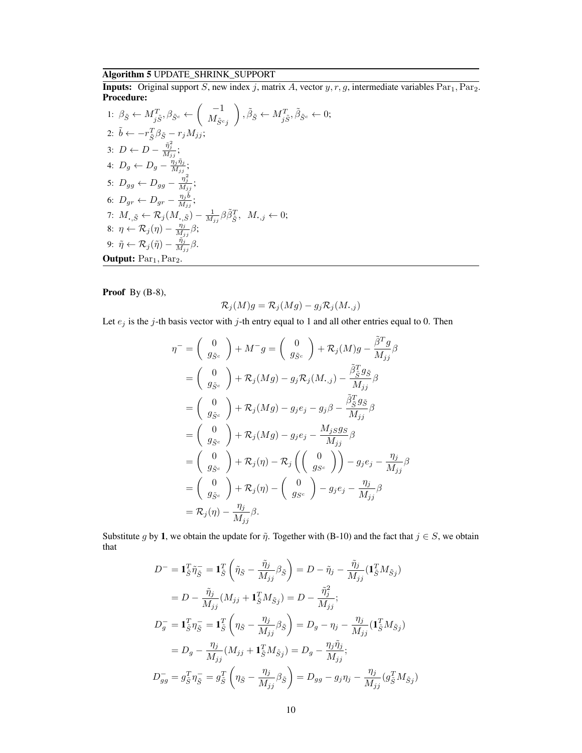# Algorithm 5 UPDATE\_SHRINK\_SUPPORT

**Inputs:** Original support S, new index j, matrix A, vector  $y, r, g$ , intermediate variables  $Par<sub>1</sub>, Par<sub>2</sub>$ . Procedure:  $\overline{ }$ 

1: 
$$
\beta_{\tilde{S}} \leftarrow M_{j\tilde{S}}^T
$$
,  $\beta_{\tilde{S}^c} \leftarrow \left(\begin{array}{c} -1 \\ M_{\tilde{S}^c} \end{array}\right)$ ,  $\tilde{\beta}_{\tilde{S}} \leftarrow M_{j\tilde{S}}^T$ ,  $\tilde{\beta}_{\tilde{S}^c} \leftarrow 0$ ;  
\n2:  $\tilde{b} \leftarrow -r_{\tilde{S}}^T \beta_{\tilde{S}} - r_j M_{jj}$ ;  
\n3:  $D \leftarrow D - \frac{\tilde{\eta}_j^2}{M_{jj}}$ ;  
\n4:  $D_g \leftarrow D_g - \frac{\eta_j \tilde{\eta}_j}{M_{jj}}$ ;  
\n5:  $D_{gg} \leftarrow D_{gg} - \frac{\eta_j^2}{M_{jj}}$ ;  
\n6:  $D_{gr} \leftarrow D_{gr} - \frac{\eta_j \tilde{b}}{M_{jj}}$ ;  
\n7:  $M_{\cdot, \tilde{S}} \leftarrow \mathcal{R}_j (M_{\cdot, \tilde{S}}) - \frac{1}{M_{jj}} \beta \tilde{\beta}_{\tilde{S}}^T$ ,  $M_{\cdot, j} \leftarrow 0$ ;  
\n8:  $\eta \leftarrow \mathcal{R}_j (\eta) - \frac{\eta_j}{M_{jj}} \beta$ ;  
\n9:  $\tilde{\eta} \leftarrow \mathcal{R}_j (\tilde{\eta}) - \frac{\tilde{\eta}_j}{M_{jj}} \beta$ .  
\n**Output:**  $\text{Par}_1, \text{Par}_2$ .

Proof By (B-8),

$$
\mathcal{R}_j(M)g=\mathcal{R}_j(Mg)-g_j\mathcal{R}_j(M_{\boldsymbol{\cdot},j})
$$

Let  $e_j$  is the j-th basis vector with j-th entry equal to 1 and all other entries equal to 0. Then

$$
\eta^{-} = \begin{pmatrix} 0 \\ g_{\tilde{S}^c} \end{pmatrix} + M^{-}g = \begin{pmatrix} 0 \\ g_{\tilde{S}^c} \end{pmatrix} + \mathcal{R}_j(M)g - \frac{\tilde{\beta}^T g}{M_{jj}} \beta
$$
  
\n
$$
= \begin{pmatrix} 0 \\ g_{\tilde{S}^c} \end{pmatrix} + \mathcal{R}_j(Mg) - g_j \mathcal{R}_j(M_{\cdot,j}) - \frac{\tilde{\beta}^T_{\tilde{S}} g_{\tilde{S}}}{M_{jj}} \beta
$$
  
\n
$$
= \begin{pmatrix} 0 \\ g_{\tilde{S}^c} \end{pmatrix} + \mathcal{R}_j(Mg) - g_j e_j - g_j \beta - \frac{\tilde{\beta}^T_{\tilde{S}} g_{\tilde{S}}}{M_{jj}} \beta
$$
  
\n
$$
= \begin{pmatrix} 0 \\ g_{\tilde{S}^c} \end{pmatrix} + \mathcal{R}_j(Mg) - g_j e_j - \frac{M_j s g_{\tilde{S}}}{M_{jj}} \beta
$$
  
\n
$$
= \begin{pmatrix} 0 \\ g_{\tilde{S}^c} \end{pmatrix} + \mathcal{R}_j(\eta) - \mathcal{R}_j \begin{pmatrix} 0 \\ g_{S^c} \end{pmatrix} - g_j e_j - \frac{\eta_j}{M_{jj}} \beta
$$
  
\n
$$
= \begin{pmatrix} 0 \\ g_{\tilde{S}^c} \end{pmatrix} + \mathcal{R}_j(\eta) - \begin{pmatrix} 0 \\ g_{S^c} \end{pmatrix} - g_j e_j - \frac{\eta_j}{M_{jj}} \beta
$$
  
\n
$$
= \mathcal{R}_j(\eta) - \frac{\eta_j}{M_{jj}} \beta.
$$

Substitute g by 1, we obtain the update for  $\tilde{\eta}$ . Together with (B-10) and the fact that  $j \in S$ , we obtain that

$$
D^{-} = \mathbf{1}_{\tilde{S}}^{T} \tilde{\eta}_{\tilde{S}}^{-} = \mathbf{1}_{\tilde{S}}^{T} \left( \tilde{\eta}_{\tilde{S}} - \frac{\tilde{\eta}_{j}}{M_{jj}} \beta_{\tilde{S}} \right) = D - \tilde{\eta}_{j} - \frac{\tilde{\eta}_{j}}{M_{jj}} (\mathbf{1}_{\tilde{S}}^{T} M_{\tilde{S}j})
$$
  
\n
$$
= D - \frac{\tilde{\eta}_{j}}{M_{jj}} (M_{jj} + \mathbf{1}_{\tilde{S}}^{T} M_{\tilde{S}j}) = D - \frac{\tilde{\eta}_{j}^{2}}{M_{jj}};
$$
  
\n
$$
D_{g}^{-} = \mathbf{1}_{\tilde{S}}^{T} \eta_{\tilde{S}}^{-} = \mathbf{1}_{\tilde{S}}^{T} \left( \eta_{\tilde{S}} - \frac{\eta_{j}}{M_{jj}} \beta_{\tilde{S}} \right) = D_{g} - \eta_{j} - \frac{\eta_{j}}{M_{jj}} (\mathbf{1}_{\tilde{S}}^{T} M_{\tilde{S}j})
$$
  
\n
$$
= D_{g} - \frac{\eta_{j}}{M_{jj}} (M_{jj} + \mathbf{1}_{\tilde{S}}^{T} M_{\tilde{S}j}) = D_{g} - \frac{\eta_{j} \tilde{\eta}_{j}}{M_{jj}};
$$
  
\n
$$
D_{gg}^{-} = g_{\tilde{S}}^{T} \eta_{\tilde{S}}^{-} = g_{\tilde{S}}^{T} \left( \eta_{\tilde{S}} - \frac{\eta_{j}}{M_{jj}} \beta_{\tilde{S}} \right) = D_{gg} - g_{j} \eta_{j} - \frac{\eta_{j}}{M_{jj}} (g_{\tilde{S}}^{T} M_{\tilde{S}j})
$$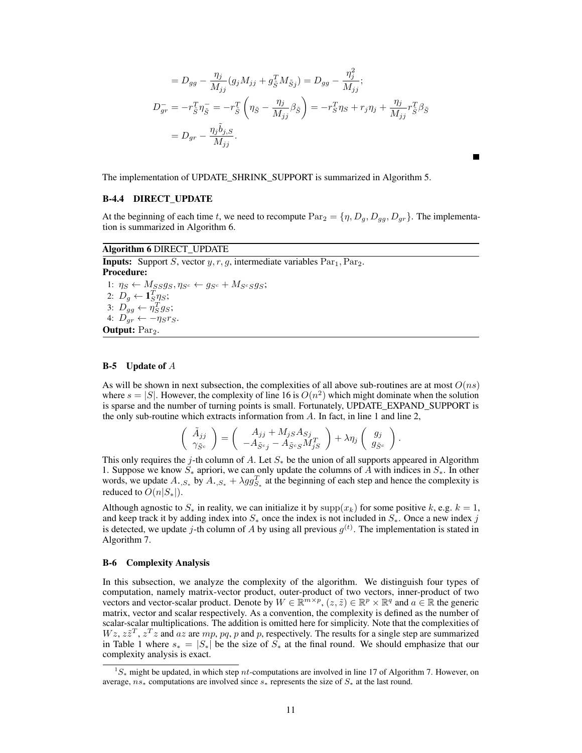$$
= D_{gg} - \frac{\eta_j}{M_{jj}} (g_j M_{jj} + g_{\tilde{S}}^T M_{\tilde{S}j}) = D_{gg} - \frac{\eta_j^2}{M_{jj}};
$$
  

$$
D_{gr}^- = -r_{\tilde{S}}^T \eta_{\tilde{S}}^- = -r_{\tilde{S}}^T \left( \eta_{\tilde{S}} - \frac{\eta_j}{M_{jj}} \beta_{\tilde{S}} \right) = -r_{\tilde{S}}^T \eta_{\tilde{S}} + r_j \eta_j + \frac{\eta_j}{M_{jj}} r_{\tilde{S}}^T \beta_{\tilde{S}}
$$
  

$$
= D_{gr} - \frac{\eta_j \tilde{b}_{j,S}}{M_{jj}}.
$$

The implementation of UPDATE\_SHRINK\_SUPPORT is summarized in Algorithm 5.

## B-4.4 DIRECT\_UPDATE

At the beginning of each time t, we need to recompute  $\text{Par}_2 = \{\eta, D_g, D_{gg}, D_{gr}\}\.$  The implementation is summarized in Algorithm 6.

#### Algorithm 6 DIRECT\_UPDATE

**Inputs:** Support S, vector  $y, r, q$ , intermediate variables  $Par_1, Par_2$ . Procedure: 1:  $\eta_S \leftarrow M_{SS}g_S, \eta_{S^c} \leftarrow g_{S^c} + M_{S^cSS}g_S;$ 2:  $D_g \leftarrow \mathbf{1}_{S}^T \underline{\eta}_S;$ 3:  $D_{gg} \leftarrow \eta_S^T g_S;$ 4:  $D_{gr} \leftarrow -\eta_S r_S$ . Output: Par<sub>2</sub>.

#### B-5 Update of A

As will be shown in next subsection, the complexities of all above sub-routines are at most  $O(ns)$ where  $s = |S|$ . However, the complexity of line 16 is  $O(n^2)$  which might dominate when the solution is sparse and the number of turning points is small. Fortunately, UPDATE\_EXPAND\_SUPPORT is the only sub-routine which extracts information from  $A$ . In fact, in line 1 and line 2,

$$
\left(\begin{array}{c}\tilde{A}_{jj}\\ \gamma_{\tilde{S}^c}\end{array}\right)=\left(\begin{array}{c}A_{jj}+M_{jS}A_{Sj}\\ -A_{\tilde{S}^cj}-A_{\tilde{S}^cS}M_{jS}^T\end{array}\right)+\lambda\eta_j\left(\begin{array}{c}g_j\\ g_{\tilde{S}^c}\end{array}\right).
$$

This only requires the j-th column of A. Let  $S_*$  be the union of all supports appeared in Algorithm 1. Suppose we know  $S_*$  apriori, we can only update the columns of A with indices in  $S_*$ . In other words, we update  $A_{\cdot,S_*}$  by  $A_{\cdot,S_*} + \lambda gg_{S_*}^T$  at the beginning of each step and hence the complexity is reduced to  $O(n|S_*|)$ .

Although agnostic to  $S_*$  in reality, we can initialize it by  $\text{supp}(x_k)$  for some positive k, e.g.  $k = 1$ , and keep track it by adding index into  $S_*$  once the index is not included in  $S_*$ . Once a new index j is detected, we update j-th column of A by using all previous  $g^{(t)}$ . The implementation is stated in Algorithm 7.

#### B-6 Complexity Analysis

In this subsection, we analyze the complexity of the algorithm. We distinguish four types of computation, namely matrix-vector product, outer-product of two vectors, inner-product of two vectors and vector-scalar product. Denote by  $W \in \mathbb{R}^{m \times p}$ ,  $(z, \tilde{z}) \in \mathbb{R}^p \times \mathbb{R}^q$  and  $a \in \mathbb{R}$  the generic matrix, vector and scalar respectively. As a convention, the complexity is defined as the number of scalar-scalar multiplications. The addition is omitted here for simplicity. Note that the complexities of  $Wz, z\tilde{z}^T, z^Tz$  and az are  $mp, pq, p$  and p, respectively. The results for a single step are summarized in Table 1 where  $s_* = |S_*|$  be the size of  $S_*$  at the final round. We should emphasize that our complexity analysis is exact.

 $1S_*$  might be updated, in which step nt-computations are involved in line 17 of Algorithm 7. However, on average,  $ns_*$  computations are involved since  $s_*$  represents the size of  $S_*$  at the last round.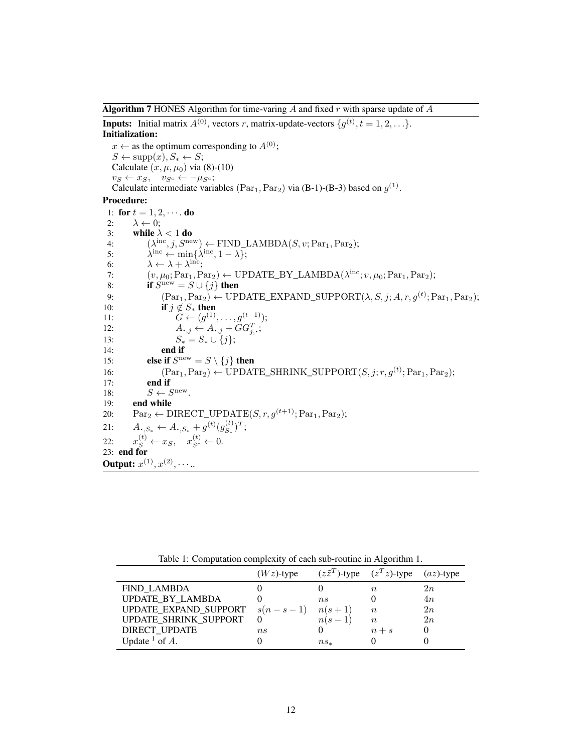**Algorithm 7** HONES Algorithm for time-varing  $A$  and fixed  $r$  with sparse update of  $A$ 

**Inputs:** Initial matrix  $A^{(0)}$ , vectors r, matrix-update-vectors  $\{g^{(t)}, t = 1, 2, \ldots\}$ . Initialization:

 $x \leftarrow$  as the optimum corresponding to  $A^{(0)}$ ;  $S \leftarrow \text{supp}(\hat{x}), S_* \leftarrow S;$ Calculate  $(x, \mu, \mu_0)$  via (8)-(10)  $v_S \leftarrow x_S, \quad v_{S^c} \leftarrow -\mu_{S^c};$ Calculate intermediate variables  $(\text{Par}_1, \text{Par}_2)$  via (B-1)-(B-3) based on  $g^{(1)}$ .

#### Procedure:

1: for  $t = 1, 2, \cdots$  do 2:  $\lambda \leftarrow 0$ ; 3: while  $\lambda < 1$  do 4:  $(\lambda^{\text{inc}}, j, S^{\text{new}}) \leftarrow \text{FIND\_LAMBDA}(S, v; \text{Par}_1, \text{Par}_2);$ 5:  $\mathrm{e}^{\mathrm{inc}} \leftarrow \min\{\lambda^{\mathrm{inc}}, 1-\lambda\};$ 6:  $\lambda \leftarrow \lambda + \lambda^{\text{inc}};$ 7:  $(v, \mu_0; Par_1, Par_2) \leftarrow \text{UPDATE\_BY\_LAMBDA}(\lambda^{\text{inc}}; v, \mu_0; Par_1, Par_2);$ 8: if  $S^{\text{new}} = S \cup \{j\}$  then 9:  $(\text{Par}_1, \text{Par}_2) \leftarrow \text{UPDATE\_EXPAND\_SUPPORT}(\lambda, S, j; A, r, g^{(t)}; \text{Par}_1, \text{Par}_2);$ 10: **if**  $j \notin S_*$  **then**<br>11:  $G \leftarrow (g^{(1)})$ 11:  $G \leftarrow (g^{(1)}, \ldots, g^{(t-1)});$ 12:  $A_{\cdot,j} \leftarrow A_{\cdot,j} + \tilde{G}G_{j,\cdot}^T;$ 13:  $S_* = S_* \cup \{j\};$ <br>14: **end if** end if 15: **else if**  $S^{new} = S \setminus \{j\}$  then 16:  $(\text{Par}_1, \text{Par}_2) \leftarrow \text{UPDATE\_SHRINK\_SUPPORT}(S, j; r, g^{(t)}; \text{Par}_1, \text{Par}_2);$ 17: end if 18:  $S \leftarrow S^{\text{new}}$ . 19: end while 20:  $\text{Par}_2 \leftarrow \text{DIRECT\_UPDATE}(S, r, g^{(t+1)}; \text{Par}_1, \text{Par}_2);$ 21:  $A_{\cdot,S_*} \leftarrow A_{\cdot,S_*} + g^{(t)}(g_{S_*}^{(t)})$  $_{S_*}^{(t)})^T;$  $22:$  $s^{(t)} \leftarrow x_S, \quad x_{S^c}^{(t)} \leftarrow 0.$ 23: end for **Output:**  $x^{(1)}, x^{(2)}, \cdots$ ...

Table 1: Computation complexity of each sub-routine in Algorithm 1.

|                       | $(Wz)$ -type |             | $(z\tilde{z}^T)$ -type $(z^T z)$ -type $(az)$ -type |    |
|-----------------------|--------------|-------------|-----------------------------------------------------|----|
| <b>FIND LAMBDA</b>    |              |             | n                                                   | 2n |
| UPDATE BY LAMBDA      |              | $n_{\rm s}$ |                                                     | 4n |
| UPDATE_EXPAND_SUPPORT | $s(n-s-1)$   | $n(s+1)$    | $n_{\rm}$                                           | 2n |
| UPDATE_SHRINK_SUPPORT |              | $n(s-1)$    | $n_{\rm c}$                                         | 2n |
| <b>DIRECT UPDATE</b>  | $n_{\rm s}$  |             | $n+s$                                               |    |
| Update $^1$ of A.     |              | $ns_*$      |                                                     |    |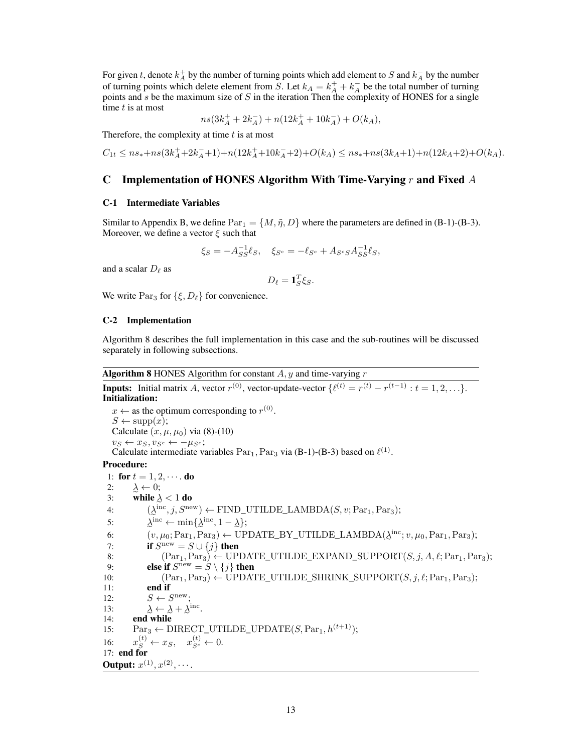For given t, denote  $k_A^+$  by the number of turning points which add element to S and  $k_A^-$  by the number of turning points which delete element from S. Let  $k_A = k_A^+ + k_A^-$  be the total number of turning points and  $s$  be the maximum size of  $S$  in the iteration Then the complexity of HONES for a single time  $t$  is at most

$$
ns(3k_A^+ + 2k_A^-) + n(12k_A^+ + 10k_A^-) + O(k_A),
$$

Therefore, the complexity at time  $t$  is at most

$$
C_{1t}\leq ns_*+ns(3k_A^++2k_A^-+1)+n(12k_A^++10k_A^-+2)+O(k_A)\leq ns_*+ns(3k_A+1)+n(12k_A+2)+O(k_A).
$$

### C Implementation of HONES Algorithm With Time-Varying r and Fixed  $A$

#### C-1 Intermediate Variables

Similar to Appendix B, we define  $Par_1 = \{M, \tilde{\eta}, D\}$  where the parameters are defined in (B-1)-(B-3). Moreover, we define a vector  $\xi$  such that

$$
\xi_S = -A_{SS}^{-1} \ell_S, \quad \xi_{S^c} = -\ell_{S^c} + A_{S^c S} A_{SS}^{-1} \ell_S,
$$

and a scalar  $D_\ell$  as

$$
D_{\ell} = \mathbf{1}_S^T \xi_S.
$$

We write  $Par_3$  for  $\{\xi, D_\ell\}$  for convenience.

#### C-2 Implementation

Algorithm 8 describes the full implementation in this case and the sub-routines will be discussed separately in following subsections.

**Algorithm 8** HONES Algorithm for constant  $A$ ,  $y$  and time-varying  $r$ 

**Inputs:** Initial matrix A, vector  $r^{(0)}$ , vector-update-vector  $\{\ell^{(t)} = r^{(t)} - r^{(t-1)} : t = 1, 2, \ldots\}.$ Initialization:  $x \leftarrow$  as the optimum corresponding to  $r^{(0)}$ .  $S \leftarrow \text{supp}(x);$ Calculate  $(x, \mu, \mu_0)$  via (8)-(10)  $v_S \leftarrow x_S, v_{S^c} \leftarrow -\mu_{S^c};$ Calculate intermediate variables  $Par_1$ ,  $Par_3$  via (B-1)-(B-3) based on  $\ell^{(1)}$ . Procedure: 1: for  $t = 1, 2, \cdots$  do 2:  $\lambda \leftarrow 0;$ 3: while  $\lambda < 1$  do 4:  $(\lambda^{\text{inc}}, j, S^{\text{new}}) \leftarrow \text{FIND\_UTLDE\_LAMBDA}(S, v; \text{Par}_1, \text{Par}_3);$ 5:  $\lambda^{\text{inc}} \leftarrow \min\{\lambda^{\text{inc}}, 1 - \lambda\};$ 6:  $(v, \mu_0; Par_1, Par_3) \leftarrow \text{UPDATE\_BY\_UTLDE\_LAMBDA}(\lambda^{\text{inc}}; v, \mu_0, Par_1, Par_3);$ 8: If  $S^{new} = S \cup \{j\}$  then<br>8:  $(Par_1, Par_3) \leftarrow \text{UPDATE\_UTIME}$  EXPAND\_SUPPORT $(S, j, A, \ell; Par_1, Par_3);$ 7: if  $S^{\text{new}} = S \cup \{j\}$  then 9: **else** if  $S^{\text{new}} = S \setminus \{j\}$  then 10:  $(\text{Par}_1, \text{Par}_3) \leftarrow \text{UPDATE_UTLDE\_SHRINK\_SUPPORT}(S, j, \ell; \text{Par}_1, \text{Par}_3);$ 11: end if 12:  $S \leftarrow S^{\text{new}};$ 13: 14: **end while**<br>
15:  $\text{Par}_3 \leftarrow \text{DIRECT\_UTIME\_UPDATE}(S, \text{Par}_1, h^{(t+1)});$  $\leftarrow \lambda + \lambda^{\text{inc}}.$ 14: end while  $16:$  $s^{(t)} \leftarrow x_S, \quad x_{S^c}^{(t)} \leftarrow 0.$ 17: end for **Output:**  $x^{(1)}, x^{(2)}, \cdots$ .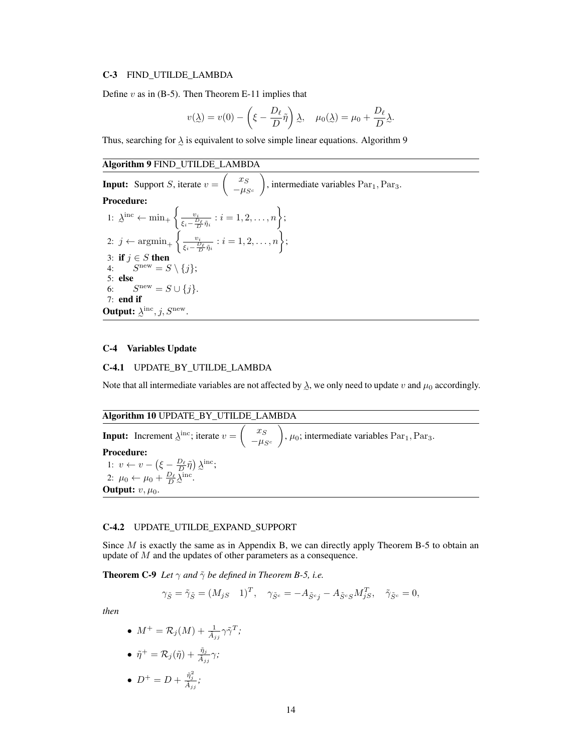#### C-3 FIND\_UTILDE\_LAMBDA

Define  $v$  as in (B-5). Then Theorem E-11 implies that

$$
v(\underline{\lambda}) = v(0) - \left(\xi - \frac{D_{\ell}}{D}\tilde{\eta}\right)\underline{\lambda}, \quad \mu_0(\underline{\lambda}) = \mu_0 + \frac{D_{\ell}}{D}\underline{\lambda}.
$$

Thus, searching for  $\lambda$  is equivalent to solve simple linear equations. Algorithm 9

e Algorithm 9 FIND\_UTILDE\_LAMBDA

**Input:** Support *S*, iterate  $v = \begin{pmatrix} x_S \\ -tu_S \end{pmatrix}$  $-\mu_{S^c}$ ), intermediate variables  $Par<sub>1</sub>$ ,  $Par<sub>3</sub>$ . Procedure: 1:  $\lambda$  $\mathbf{e} \leftarrow \min_{+} \left\{ \frac{v_i}{\epsilon - \frac{v_i}{D}} \right\}$  $\frac{v_i}{\xi_i-\frac{D_\ell}{D}\tilde{\eta}_i} : i=1,2,\ldots,n\bigg\};$ 2: j ←  $argmin_+$   $\left\{\frac{v_i}{\epsilon - \frac{D}{L}}\right\}$  $\frac{v_i}{\xi_i-\frac{D_\ell}{D}\tilde{\eta}_i}$ :  $i=1,2,\ldots,n\bigg\};$ 3: if  $j \in S$  then 4:  $S^{\text{new}} = S \setminus \{j\};$ 5: else 6:  $S^{\text{new}} = S \cup \{j\}.$ 7: end if **Output:**  $\lambda^{\text{inc}}$ ,  $j$ ,  $S^{\text{new}}$ .

#### C-4 Variables Update

#### C-4.1 UPDATE\_BY\_UTILDE\_LAMBDA

Note that all intermediate variables are not affected by  $\lambda$ , we only need to update v and  $\mu_0$  accordingly.

Algorithm 10 UPDATE\_BY\_UTILDE\_LAMBDA **Input:** Increment  $\lambda^{\text{inc}}$ ; iterate  $v = \begin{pmatrix} x_s \\ y_s \end{pmatrix}$  $-\mu_{S^c}$  $\Big)$ ,  $\mu_0$ ; intermediate variables Par<sub>1</sub>, Par<sub>3</sub>. Procedure: 1:  $v \leftarrow v - \left(\xi - \frac{D_{\ell}}{D}\tilde{\eta}\right) \lambda$ inc; 2:  $\mu_0 \leftarrow \mu_0 + \frac{D_{\ell}}{D} \lambda^{\text{inc}}.$ e Output:  $v, \mu_0$ .

#### C-4.2 UPDATE\_UTILDE\_EXPAND\_SUPPORT

Since  $M$  is exactly the same as in Appendix B, we can directly apply Theorem B-5 to obtain an update of M and the updates of other parameters as a consequence.

**Theorem C-9** *Let*  $\gamma$  *and*  $\tilde{\gamma}$  *be defined in Theorem B-5, i.e.* 

$$
\gamma_{\tilde{S}} = \tilde{\gamma}_{\tilde{S}} = (M_{jS} \quad 1)^T, \quad \gamma_{\tilde{S}^c} = -A_{\tilde{S}^c j} - A_{\tilde{S}^c S} M_{jS}^T, \quad \tilde{\gamma}_{\tilde{S}^c} = 0,
$$

*then*

\n- \n
$$
M^+ = \mathcal{R}_j(M) + \frac{1}{\bar{A}_{jj}} \gamma \tilde{\gamma}^T;
$$
\n
\n- \n
$$
\tilde{\eta}^+ = \mathcal{R}_j(\tilde{\eta}) + \frac{\tilde{\eta}_j}{\bar{A}_{jj}} \gamma;
$$
\n
\n

$$
\bullet \ \ D^+ = D + \frac{\eta_j^-}{\tilde{A}_{jj}};
$$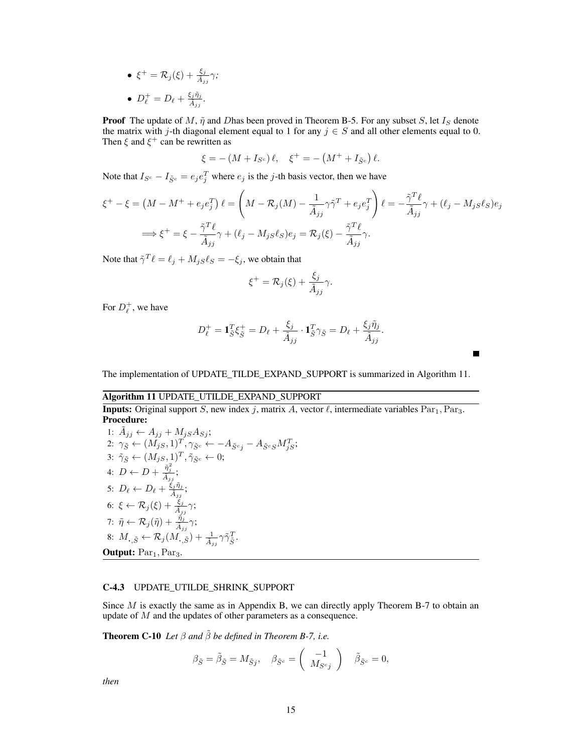•  $\xi^+ = \mathcal{R}_j(\xi) + \frac{\xi_j}{\tilde{A}_{jj}}\gamma$ ; •  $D_{\ell}^{+} = D_{\ell} + \frac{\xi_{j} \tilde{\eta}_{j}}{\tilde{A}_{jj}}$ .

**Proof** The update of M,  $\tilde{\eta}$  and Dhas been proved in Theorem B-5. For any subset S, let  $I_S$  denote the matrix with j-th diagonal element equal to 1 for any  $j \in S$  and all other elements equal to 0. Then  $\xi$  and  $\xi^+$  can be rewritten as

$$
\xi = -(M + I_{S^c})\ell, \quad \xi^+ = -(M^+ + I_{\tilde{S}^c})\ell.
$$

Note that  $I_{S^c} - I_{\tilde{S}^c} = e_j e_j^T$  where  $e_j$  is the j-th basis vector, then we have

$$
\xi^+ - \xi = \left(M - M^+ + e_j e_j^T\right) \ell = \left(M - \mathcal{R}_j(M) - \frac{1}{\tilde{A}_{jj}} \gamma \tilde{\gamma}^T + e_j e_j^T\right) \ell = -\frac{\tilde{\gamma}^T \ell}{\tilde{A}_{jj}} \gamma + (\ell_j - M_j s \ell_S) e_j
$$

$$
\implies \xi^+ = \xi - \frac{\tilde{\gamma}^T \ell}{\tilde{A}_{jj}} \gamma + (\ell_j - M_j s \ell_S) e_j = \mathcal{R}_j(\xi) - \frac{\tilde{\gamma}^T \ell}{\tilde{A}_{jj}} \gamma.
$$

Note that  $\tilde{\gamma}^T \ell = \ell_j + M_{jS} \ell_S = -\xi_j$ , we obtain that

$$
\xi^+ = \mathcal{R}_j(\xi) + \frac{\xi_j}{\tilde{A}_{jj}}\gamma.
$$

For  $D_{\ell}^{+}$ , we have

$$
D_{\ell}^{+} = \mathbf{1}_{\tilde{S}}^{T} \xi_{\tilde{S}}^{+} = D_{\ell} + \frac{\xi_j}{\tilde{A}_{jj}} \cdot \mathbf{1}_{\tilde{S}}^{T} \gamma_{\tilde{S}} = D_{\ell} + \frac{\xi_j \tilde{\eta}_j}{\tilde{A}_{jj}}.
$$

The implementation of UPDATE\_TILDE\_EXPAND\_SUPPORT is summarized in Algorithm 11.

# Algorithm 11 UPDATE\_UTILDE\_EXPAND\_SUPPORT

**Inputs:** Original support S, new index j, matrix A, vector  $\ell$ , intermediate variables Par<sub>1</sub>, Par<sub>3</sub>.<br>**Procedure:** Procedure: 1:  $\tilde{A}_{jj} \leftarrow A_{jj} + M_{jS}A_{Sj};$ 2:  $\gamma_{\tilde{S}} \leftarrow (M_{jS}, 1)^T, \gamma_{\tilde{S}^c} \leftarrow -A_{\tilde{S}^c j} - A_{\tilde{S}^c S} M_{jS}^T;$ 3:  $\tilde{\gamma}_{\tilde{S}} \leftarrow (M_{jS}, 1)^T, \tilde{\gamma}_{\tilde{S}^c} \leftarrow 0;$ 4:  $D \leftarrow D + \frac{\tilde{\eta}_j^2}{\tilde{A}_{jj}}$ ; 5:  $D_{\ell} \leftarrow D_{\ell} + \frac{\xi_j \tilde{\eta}_j}{\tilde{A}_{jj}}$ ; 6:  $\xi \leftarrow \mathcal{R}_j(\xi) + \frac{\xi_j}{\tilde{A}_{jj}}\gamma;$ 7:  $\tilde{\eta} \leftarrow \mathcal{R}_j(\tilde{\eta}) + \frac{\tilde{\eta}_j}{\tilde{A}_{jj}}\gamma;$ 8:  $M_{\boldsymbol{\cdot},\tilde{S}} \leftarrow \mathcal{R}_j(M_{\boldsymbol{\cdot},\tilde{S}}) + \frac{1}{\tilde{A}_{jj}} \gamma \tilde{\gamma}_{\tilde{S}}^T$ . **Output:**  $Par<sub>1</sub>, Par<sub>3</sub>$ .

#### C-4.3 UPDATE\_UTILDE\_SHRINK\_SUPPORT

Since  $M$  is exactly the same as in Appendix B, we can directly apply Theorem B-7 to obtain an update of M and the updates of other parameters as a consequence.

**Theorem C-10** *Let*  $\beta$  *and*  $\tilde{\beta}$  *be defined in Theorem B-7, i.e.* 

$$
\beta_{\tilde{S}} = \tilde{\beta}_{\tilde{S}} = M_{\tilde{S}j}, \quad \beta_{\tilde{S}^c} = \begin{pmatrix} -1 \\ M_{S^cj} \end{pmatrix} \quad \tilde{\beta}_{\tilde{S}^c} = 0,
$$

*then*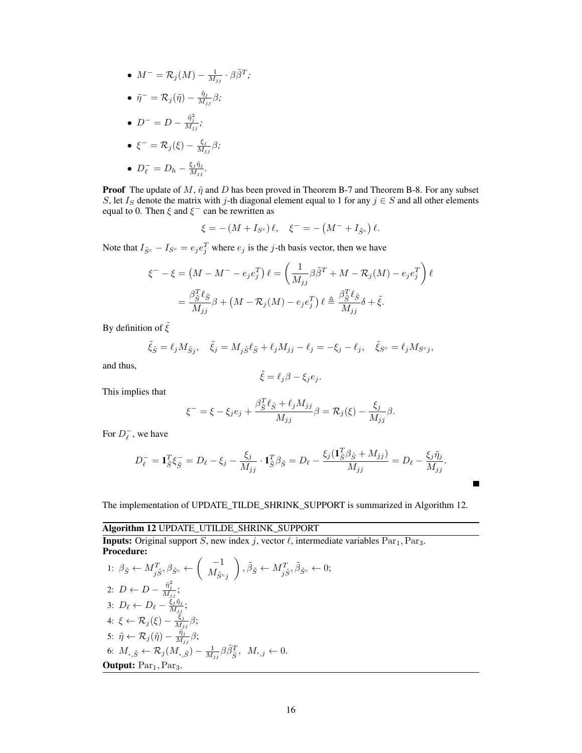• 
$$
M^- = \mathcal{R}_j(M) - \frac{1}{M_{jj}} \cdot \beta \tilde{\beta}^T;
$$

*.*

$$
\bullet\ \ \tilde{\eta}^-=\mathcal{R}_j(\tilde{\eta})-\tfrac{\tilde{\eta}_j}{M_{jj}}\beta;
$$

• 
$$
D^{-} = D - \frac{\tilde{\eta}_j^2}{M_{jj}};
$$

• 
$$
\xi^{-} = \mathcal{R}_j(\xi) - \frac{\xi_j}{M_{jj}}\beta;
$$

• 
$$
D_{\ell}^- = D_h - \frac{\xi_j \tilde{\eta}_j}{M_{jj}}
$$

**Proof** The update of M,  $\tilde{\eta}$  and D has been proved in Theorem B-7 and Theorem B-8. For any subset S, let  $I_S$  denote the matrix with j-th diagonal element equal to 1 for any  $j \in S$  and all other elements equal to 0. Then  $\xi$  and  $\xi^-$  can be rewritten as

$$
\xi = -(M + I_{S^c}) \ell, \quad \xi^- = -(M^- + I_{\tilde{S}^c}) \ell.
$$

Note that  $I_{\tilde{S}^c} - I_{S^c} = e_j e_j^T$  where  $e_j$  is the j-th basis vector, then we have

$$
\xi^{-} - \xi = \left(M - M^{-} - e_j e_j^{T}\right) \ell = \left(\frac{1}{M_{jj}} \beta \tilde{\beta}^{T} + M - \mathcal{R}_j(M) - e_j e_j^{T}\right) \ell
$$

$$
= \frac{\beta \tilde{\xi}^T \ell \tilde{\xi}}{M_{jj}} \beta + \left(M - \mathcal{R}_j(M) - e_j e_j^{T}\right) \ell \triangleq \frac{\beta \tilde{\xi}^T \ell \tilde{\xi}}{M_{jj}} \delta + \tilde{\xi}.
$$

By definition of  $\tilde{\xi}$ 

$$
\tilde{\xi}_{\tilde{S}} = \ell_j M_{\tilde{S}j}, \quad \tilde{\xi}_j = M_{j\tilde{S}} \ell_{\tilde{S}} + \ell_j M_{jj} - \ell_j = -\xi_j - \ell_j, \quad \tilde{\xi}_{S^c} = \ell_j M_{S^c j},
$$

and thus,

$$
\tilde{\xi} = \ell_j \beta - \xi_j e_j.
$$

This implies that

$$
\xi^{-} = \xi - \xi_j e_j + \frac{\beta_{\tilde{S}}^T \ell_{\tilde{S}} + \ell_j M_{jj}}{M_{jj}} \beta = \mathcal{R}_j(\xi) - \frac{\xi_j}{M_{jj}} \beta.
$$

For  $D_{\ell}^-$ , we have

$$
D_{\ell}^- = \mathbf{1}_{\tilde{S}}^T \xi_{\tilde{S}}^- = D_{\ell} - \xi_j - \frac{\xi_j}{M_{jj}} \cdot \mathbf{1}_{\tilde{S}}^T \beta_{\tilde{S}} = D_{\ell} - \frac{\xi_j (\mathbf{1}_{\tilde{S}}^T \beta_{\tilde{S}} + M_{jj})}{M_{jj}} = D_{\ell} - \frac{\xi_j \tilde{\eta}_j}{M_{jj}}.
$$

Г

The implementation of UPDATE\_TILDE\_SHRINK\_SUPPORT is summarized in Algorithm 12.

Algorithm 12 UPDATE\_UTILDE\_SHRINK\_SUPPORT

**Inputs:** Original support S, new index j, vector  $\ell$ , intermediate variables Par<sub>1</sub>, Par<sub>3</sub>. Procedure:  $\mathcal{L}$ 

1: 
$$
\beta_{\tilde{S}} \leftarrow M_{j\tilde{S}}^T, \beta_{\tilde{S}^c} \leftarrow \begin{pmatrix} -1 \\ M_{\tilde{S}^cj} \end{pmatrix}, \tilde{\beta}_{\tilde{S}} \leftarrow M_{j\tilde{S}}^T, \tilde{\beta}_{\tilde{S}^c} \leftarrow 0;
$$
  
\n2:  $D \leftarrow D - \frac{\tilde{\eta}_{j\tilde{j}}^2}{M_{jj}};$   
\n3:  $D_{\ell} \leftarrow D_{\ell} - \frac{\xi_j \tilde{\eta}_{j\tilde{j}}}{M_{jj}};$   
\n4:  $\xi \leftarrow \mathcal{R}_j(\xi) - \frac{\tilde{\eta}_{j\tilde{j}}}{M_{jj}} \beta;$   
\n5:  $\tilde{\eta} \leftarrow \mathcal{R}_j(\tilde{\eta}) - \frac{\tilde{\eta}_{j\tilde{j}}}{M_{jj}} \beta;$   
\n6:  $M_{\cdot,\tilde{S}} \leftarrow \mathcal{R}_j(M_{\cdot,\tilde{S}}) - \frac{1}{M_{jj}} \beta \tilde{\beta}_{\tilde{S}}^T, M_{\cdot,j} \leftarrow 0.$   
\n**Output:** Par<sub>1</sub>, Par<sub>3</sub>.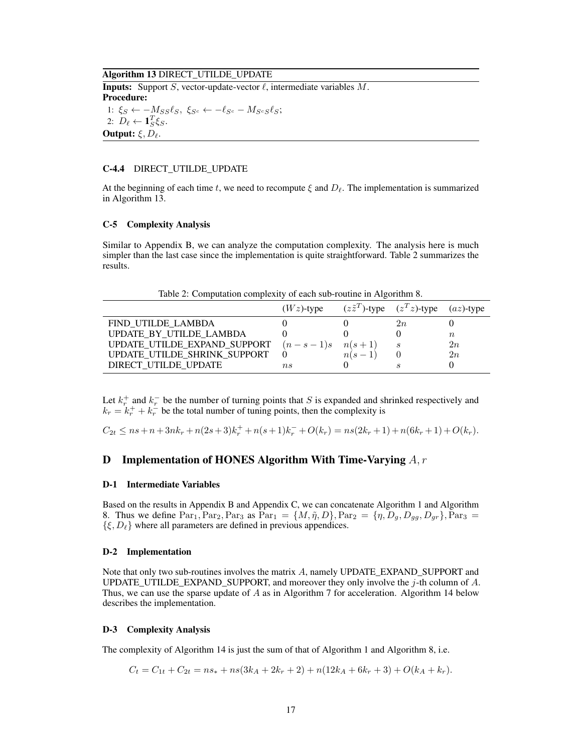#### Algorithm 13 DIRECT\_UTILDE\_UPDATE

**Inputs:** Support S, vector-update-vector  $\ell$ , intermediate variables M. Procedure: 1:  $\xi_S \leftarrow -M_{SS}\ell_S, \ \xi_{S^c} \leftarrow -\ell_{S^c} - M_{S^cS}\ell_S;$ 2:  $D_{\ell} \leftarrow \mathbf{1}_S^T \xi_S$ . **Output:**  $\xi, D_\ell$ .

#### C-4.4 DIRECT\_UTILDE\_UPDATE

At the beginning of each time t, we need to recompute  $\xi$  and  $D_\ell$ . The implementation is summarized in Algorithm 13.

#### C-5 Complexity Analysis

Similar to Appendix B, we can analyze the computation complexity. The analysis here is much simpler than the last case since the implementation is quite straightforward. Table 2 summarizes the results.

Table 2: Computation complexity of each sub-routine in Algorithm 8.

|                              | $(Wz)$ -type |          | $(z\tilde{z}^T)$ -type $(z^T z)$ -type | $(az)$ -type |
|------------------------------|--------------|----------|----------------------------------------|--------------|
| FIND UTILDE LAMBDA           |              |          | 2n                                     |              |
| UPDATE BY UTILDE LAMBDA      |              |          |                                        | $n_{\rm}$    |
| UPDATE_UTILDE_EXPAND_SUPPORT | $(n-s-1)s$   | $n(s+1)$ |                                        | 2n           |
| UPDATE_UTILDE_SHRINK_SUPPORT |              | $n(s-1)$ |                                        | 2n           |
| DIRECT UTILDE UPDATE         | n s          |          |                                        |              |

Let  $k_r^+$  and  $k_r^-$  be the number of turning points that S is expanded and shrinked respectively and  $k_r = k_r^+ + k_r^-$  be the total number of tuning points, then the complexity is

 $C_{2t} \leq ns + n + 3nk_r + n(2s+3)k_r^+ + n(s+1)k_r^- + O(k_r) = ns(2k_r + 1) + n(6k_r + 1) + O(k_r).$ 

# **D** Implementation of HONES Algorithm With Time-Varying  $A, r$

#### D-1 Intermediate Variables

Based on the results in Appendix B and Appendix C, we can concatenate Algorithm 1 and Algorithm 8. Thus we define  $Par_1, Par_2, Par_3$  as  $Par_1 = \{M, \tilde{\eta}, D\}$ ,  $Par_2 = \{\eta, D_q, D_{qq}, D_{qr}\}$ ,  $Par_3 =$  $\{\xi, D_{\ell}\}\$  where all parameters are defined in previous appendices.

#### D-2 Implementation

Note that only two sub-routines involves the matrix A, namely UPDATE\_EXPAND\_SUPPORT and UPDATE\_UTILDE\_EXPAND\_SUPPORT, and moreover they only involve the  $j$ -th column of  $A$ . Thus, we can use the sparse update of A as in Algorithm 7 for acceleration. Algorithm 14 below describes the implementation.

#### D-3 Complexity Analysis

The complexity of Algorithm 14 is just the sum of that of Algorithm 1 and Algorithm 8, i.e.

$$
C_t = C_{1t} + C_{2t} = ns_* + ns(3k_A + 2k_r + 2) + n(12k_A + 6k_r + 3) + O(k_A + k_r).
$$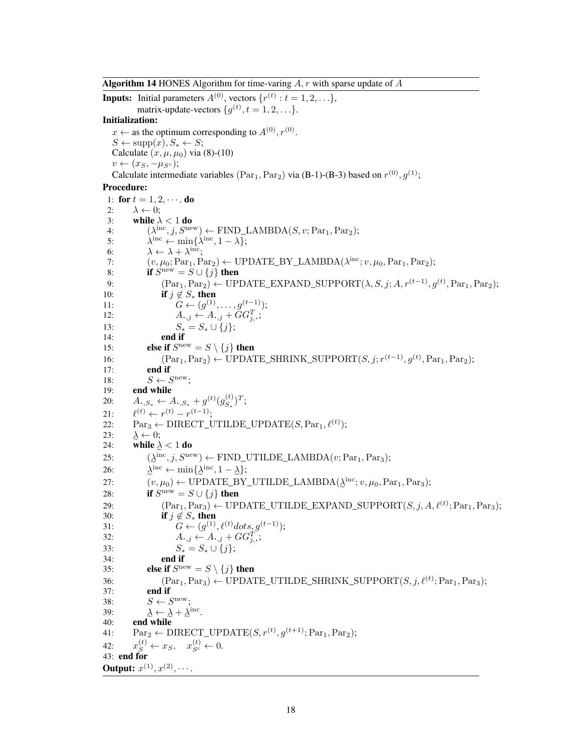**Algorithm 14 HONES** Algorithm for time-varing  $A$ ,  $r$  with sparse update of  $A$ 

**Inputs:** Initial parameters  $A^{(0)}$ , vectors  $\{r^{(t)}: t = 1, 2, ...\}$ , matrix-update-vectors  $\{g^{(t)}, t = 1, 2, \ldots\}.$ Initialization:  $x \leftarrow$  as the optimum corresponding to  $A^{(0)}$ ,  $r^{(0)}$ .  $S \leftarrow \text{supp}(x), S_* \leftarrow S;$ Calculate  $(x, \mu, \mu_0)$  via (8)-(10)  $v \leftarrow (x_S, -\mu_{S^c});$ Calculate intermediate variables  $(\text{Par}_1, \text{Par}_2)$  via (B-1)-(B-3) based on  $r^{(0)}, g^{(1)}$ ; Procedure: 1: for  $t = 1, 2, \cdots$  do 2:  $\lambda \leftarrow 0$ ; 3: while  $\lambda < 1$  do 4:  $(\lambda^{\text{inc}}, j, S^{\text{new}}) \leftarrow \text{FIND\_LAMBDA}(S, v; \text{Par}_1, \text{Par}_2);$ 5:  $\lambda^{\text{inc}} \leftarrow \min\{\lambda^{\text{inc}}, 1 - \lambda\};$ 6:  $\lambda \leftarrow \lambda + \lambda^{\text{inc}};$ 7:  $(v, \mu_0; Par_1, Par_2) \leftarrow \text{UPDATE\_BY\_LAMBDA}(\lambda^{\text{inc}}; v, \mu_0, Par_1, Par_2);$ 8: if  $S^{\text{new}} = S \cup \{j\}$  then 9:  $(\text{Par}_1, \text{Par}_2) \leftarrow \text{UPDATE\_EXPAND\_SUPPORT}(\lambda, S, j; A, r^{(t-1)}, g^{(t)}, \text{Par}_1, \text{Par}_2);$ 10: **if**  $j \notin S_*$  then 11:  $G \leftarrow (g^{(1)}, \ldots, g^{(t-1)});$ 12:  $A_{\cdot,j} \leftarrow A_{\cdot,j} + \tilde{G}G_{j,\cdot}^T;$ 13:  $S_* = S_* \cup \{j\};$ <br>14: **end if** end if 15: **else if**  $S^{new} = S \setminus \{j\}$  then 16:  $(\text{Par}_1, \text{Par}_2) \leftarrow \text{UPDATE\_SHRINK\_SUPPORT}(S, j; r^{(t-1)}, g^{(t)}, \text{Par}_1, \text{Par}_2);$ 17: end if 18:  $S \leftarrow S^{\text{new}};$ 19: end while 20:  $A_{\cdot,S_*} \leftarrow A_{\cdot,S_*} + g^{(t)}(g_{S_*}^{(t)})$  $_{S_*}^{(t)})^T;$  $21:$  $($ t)  $\leftarrow$   $r$  $($ t $)$   $r$  $($ t $-1)$ ; 22:  $\text{Par}_3 \leftarrow \text{DIRECT\_UTLDE\_UPDATE}(S, \text{Par}_1, \ell^{(t)});$  $23:$ 24: while  $\lambda < 1$  do  $\lambda \leftarrow 0$ ; 25:  $(\lambda^{\text{inc}}, j, S^{\text{new}}) \leftarrow \text{FIND\_UTLDE\_LAMBDA}(v; \text{Par}_1, \text{Par}_3);$  $\Delta^{\text{inc}} \leftarrow \min\{\Delta^{\text{inc}}, 1 - \Delta\};$ 26: λ 27:  $(v, \mu_0) \leftarrow \text{UPDATE\_BY\_UTLDE\_LAMBDA}(\underline{\lambda}^{\text{inc}}; v, \mu_0, \text{Par}_1, \text{Par}_3);$ 28: If  $S^{new} = S \cup \{j\}$  then<br>  $(Par_1, Par_3) \leftarrow \text{UPDATE_UTLDE\_EXPAND\_SUPPORT}(S, j, A, \ell^{(t)}; Par_1, Par_3);$ 28: **if**  $S^{new} = S \cup \{j\}$  then 30: **if**  $j \notin S_*$  then 31:  $G \leftarrow (g^{(1)}, \ell^{(t)}dots, g^{(t-1)});$ 32:  $A_{\cdot,j} \leftarrow A_{\cdot,j} + GG_{j,\cdot}^T;$ 33:  $S_* = S_* \cup \{j\};$ <br>34: **end if** end if 35: **else if**  $S^{\text{new}} = S \setminus \{j\}$  then 36:  $(\text{Par}_1, \text{Par}_3) \leftarrow \text{UPDATE\_UTIME\_SHRINK\_SUPPORT}(S, j, \ell^{(t)}; \text{Par}_1, \text{Par}_3);$ 37: end if 38:  $S \leftarrow S^{\text{new}};$ 39: 40: **end while**<br>41:  $\text{Par}_2 \leftarrow \text{DIRECT\_UPDATE}(S, r^{(t)}, g^{(t+1)}; \text{Par}_1, \text{Par}_2);$  $\leftarrow \lambda + \lambda^{\text{inc}}.$ 40: end while  $42:$  $s^{(t)} \leftarrow x_S, \quad x_{S^c}^{(t)} \leftarrow 0.$ 43: end for **Output:**  $x^{(1)}, x^{(2)}, \cdots$ .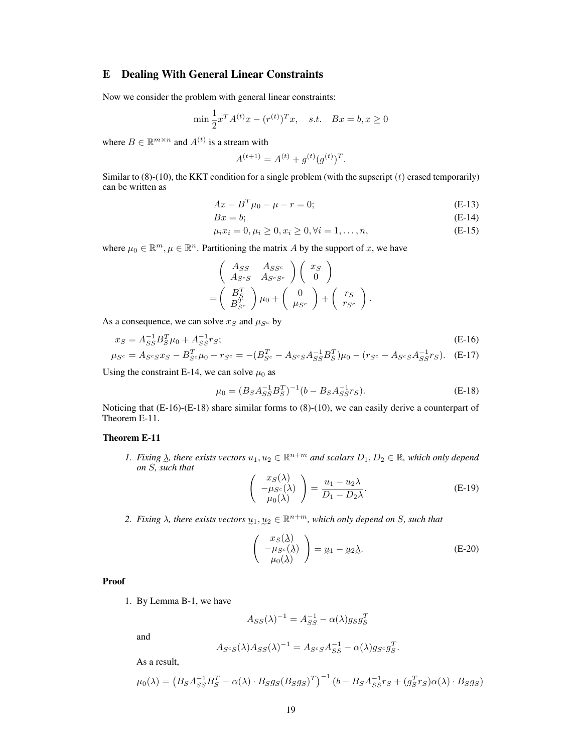# E Dealing With General Linear Constraints

Now we consider the problem with general linear constraints:

$$
\min \frac{1}{2} x^T A^{(t)} x - (r^{(t)})^T x, \quad s.t. \quad Bx = b, x \ge 0
$$

where  $B \in \mathbb{R}^{m \times n}$  and  $A^{(t)}$  is a stream with

$$
A^{(t+1)} = A^{(t)} + g^{(t)}(g^{(t)})^T.
$$

Similar to  $(8)-(10)$ , the KKT condition for a single problem (with the supscript  $(t)$  erased temporarily) can be written as

$$
Ax - B^{T}\mu_0 - \mu - r = 0;
$$
 (E-13)

$$
Bx = b;
$$
 (E-14)

$$
\mu_i x_i = 0, \mu_i \ge 0, x_i \ge 0, \forall i = 1, \dots, n,
$$
\n(E-15)

where  $\mu_0 \in \mathbb{R}^m, \mu \in \mathbb{R}^n$ . Partitioning the matrix A by the support of x, we have

$$
\begin{pmatrix}\nAs_S & As_{S^c} \\
As_{cS} & As_{cS^c}\n\end{pmatrix}\n\begin{pmatrix}\nx_S \\
0\n\end{pmatrix}\n=\n\begin{pmatrix}\nB_S^T \\
B_{S^c}^T\n\end{pmatrix}\n\mu_0\n+\n\begin{pmatrix}\n0 \\
\mu_{S^c}\n\end{pmatrix}\n+\n\begin{pmatrix}\nr_S \\
r_{S^c}\n\end{pmatrix}.
$$

As a consequence, we can solve  $x_S$  and  $\mu_{S^c}$  by

$$
x_S = A_{SS}^{-1} B_S^T \mu_0 + A_{SS}^{-1} r_S; \tag{E-16}
$$
  
\n
$$
\mu_{S^c} = A_{S^c S} x_S - B_{S^c}^T \mu_0 - r_{S^c} = -(B_{S^c}^T - A_{S^c S} A_{SS}^{-1} B_S^T) \mu_0 - (r_{S^c} - A_{S^c S} A_{SS}^{-1} r_S). \tag{E-17}
$$

Using the constraint E-14, we can solve  $\mu_0$  as

$$
\mu_0 = (B_S A_{SS}^{-1} B_S^T)^{-1} (b - B_S A_{SS}^{-1} r_S).
$$
 (E-18)

Noticing that (E-16)-(E-18) share similar forms to (8)-(10), we can easily derive a counterpart of Theorem E-11.

### Theorem E-11

1. Fixing  $\lambda$ , there exists vectors  $u_1, u_2 \in \mathbb{R}^{n+m}$  and scalars  $D_1, D_2 \in \mathbb{R}$ , which only depend e *on* S*, such that*

$$
\begin{pmatrix} x_S(\lambda) \\ -\mu_{S^c}(\lambda) \\ \mu_0(\lambda) \end{pmatrix} = \frac{u_1 - u_2\lambda}{D_1 - D_2\lambda}.
$$
 (E-19)

2. Fixing  $\lambda$ , there exists vectors  $\underline{u}_1, \underline{u}_2 \in \mathbb{R}^{n+m}$ , which only depend on S, such that

$$
\begin{pmatrix} x_S(\lambda) \\ -\mu_{S^c}(\lambda) \\ \mu_0(\lambda) \end{pmatrix} = \underline{u}_1 - \underline{u}_2 \underline{\lambda}.
$$
 (E-20)

.

Proof

1. By Lemma B-1, we have

$$
A_{SS}(\lambda)^{-1} = A_{SS}^{-1} - \alpha(\lambda)g_S g_S^T
$$

and

$$
A_{S^cS}(\lambda)A_{SS}(\lambda)^{-1} = A_{S^cS}A_{SS}^{-1} - \alpha(\lambda)g_{S^c}g_S^T
$$

As a result,

$$
\mu_0(\lambda) = \left(B_S A_{SS}^{-1} B_S^T - \alpha(\lambda) \cdot B_S g_S (B_S g_S)^T\right)^{-1} \left(b - B_S A_{SS}^{-1} r_S + (g_S^T r_S) \alpha(\lambda) \cdot B_S g_S\right)
$$